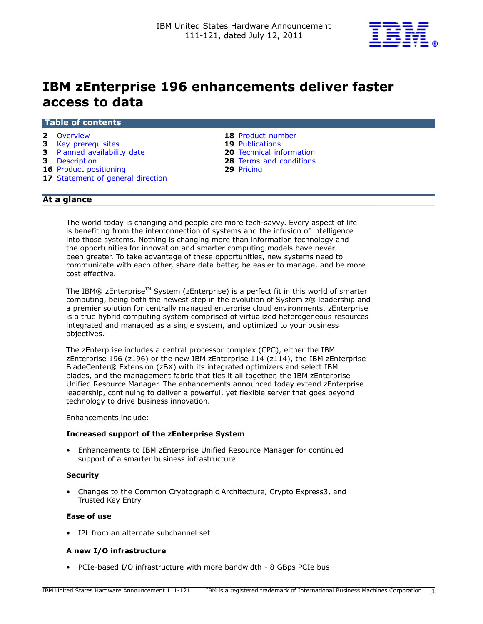

# IBM zEnterprise 196 enhancements deliver faster access to data

### Table of contents

- **2** [Overview](#page-1-0) **18 Product number**
- **3** [Key prerequisites](#page-2-0) 19 Publications
- 3 [Planned availability date](#page-2-1) 20 [Technical information](#page-19-0)
- 
- 16 Product positioning
- 17 [Statement of general direction](#page-16-0)
- 
- 
- 
- **3** [Description](#page-2-2) **28** Terms and conditions<br> **16** Product positioning **29** Pricing **29** Pricing
	-

# At a glance

The world today is changing and people are more tech-savvy. Every aspect of life is benefiting from the interconnection of systems and the infusion of intelligence into those systems. Nothing is changing more than information technology and the opportunities for innovation and smarter computing models have never been greater. To take advantage of these opportunities, new systems need to communicate with each other, share data better, be easier to manage, and be more cost effective.

The IBM® zEnterprise<sup>™</sup> System (zEnterprise) is a perfect fit in this world of smarter computing, being both the newest step in the evolution of System z® leadership and a premier solution for centrally managed enterprise cloud environments. zEnterprise is a true hybrid computing system comprised of virtualized heterogeneous resources integrated and managed as a single system, and optimized to your business objectives.

The zEnterprise includes a central processor complex (CPC), either the IBM zEnterprise 196 (z196) or the new IBM zEnterprise 114 (z114), the IBM zEnterprise BladeCenter® Extension (zBX) with its integrated optimizers and select IBM blades, and the management fabric that ties it all together, the IBM zEnterprise Unified Resource Manager. The enhancements announced today extend zEnterprise leadership, continuing to deliver a powerful, yet flexible server that goes beyond technology to drive business innovation.

Enhancements include:

#### Increased support of the zEnterprise System

• Enhancements to IBM zEnterprise Unified Resource Manager for continued support of a smarter business infrastructure

#### **Security**

• Changes to the Common Cryptographic Architecture, Crypto Express3, and Trusted Key Entry

### Ease of use

• IPL from an alternate subchannel set

#### A new I/O infrastructure

• PCIe-based I/O infrastructure with more bandwidth - 8 GBps PCIe bus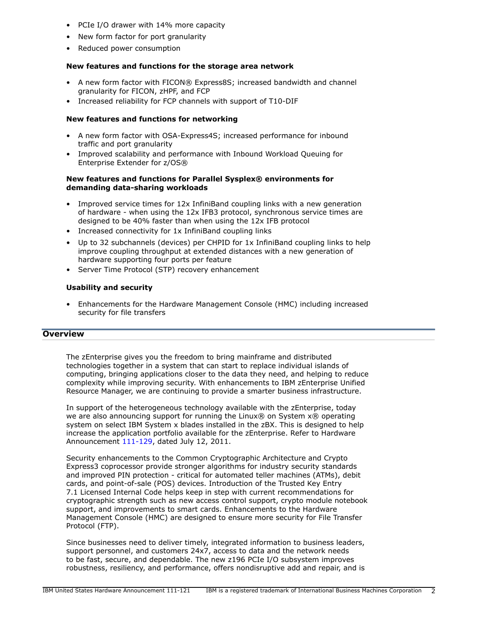- PCIe I/O drawer with 14% more capacity
- New form factor for port granularity
- Reduced power consumption

# New features and functions for the storage area network

- A new form factor with FICON® Express8S; increased bandwidth and channel granularity for FICON, zHPF, and FCP
- Increased reliability for FCP channels with support of T10-DIF

# New features and functions for networking

- A new form factor with OSA-Express4S; increased performance for inbound traffic and port granularity
- Improved scalability and performance with Inbound Workload Queuing for Enterprise Extender for z/OS®

# New features and functions for Parallel Sysplex® environments for demanding data-sharing workloads

- Improved service times for 12x InfiniBand coupling links with a new generation of hardware - when using the 12x IFB3 protocol, synchronous service times are designed to be 40% faster than when using the 12x IFB protocol
- Increased connectivity for 1x InfiniBand coupling links
- Up to 32 subchannels (devices) per CHPID for 1x InfiniBand coupling links to help improve coupling throughput at extended distances with a new generation of hardware supporting four ports per feature
- Server Time Protocol (STP) recovery enhancement

# Usability and security

• Enhancements for the Hardware Management Console (HMC) including increased security for file transfers

# <span id="page-1-0"></span>**Overview**

The zEnterprise gives you the freedom to bring mainframe and distributed technologies together in a system that can start to replace individual islands of computing, bringing applications closer to the data they need, and helping to reduce complexity while improving security. With enhancements to IBM zEnterprise Unified Resource Manager, we are continuing to provide a smarter business infrastructure.

In support of the heterogeneous technology available with the zEnterprise, today we are also announcing support for running the Linux® on System x® operating system on select IBM System x blades installed in the zBX. This is designed to help increase the application portfolio available for the zEnterprise. Refer to Hardware Announcement [111-129](http://www.ibm.com/common/ssi/cgi-bin/ssialias?infotype=an&subtype=ca&appname=gpateam&supplier=897&letternum=ENUS111-129), dated July 12, 2011.

Security enhancements to the Common Cryptographic Architecture and Crypto Express3 coprocessor provide stronger algorithms for industry security standards and improved PIN protection - critical for automated teller machines (ATMs), debit cards, and point-of-sale (POS) devices. Introduction of the Trusted Key Entry 7.1 Licensed Internal Code helps keep in step with current recommendations for cryptographic strength such as new access control support, crypto module notebook support, and improvements to smart cards. Enhancements to the Hardware Management Console (HMC) are designed to ensure more security for File Transfer Protocol (FTP).

Since businesses need to deliver timely, integrated information to business leaders, support personnel, and customers 24x7, access to data and the network needs to be fast, secure, and dependable. The new z196 PCIe I/O subsystem improves robustness, resiliency, and performance, offers nondisruptive add and repair, and is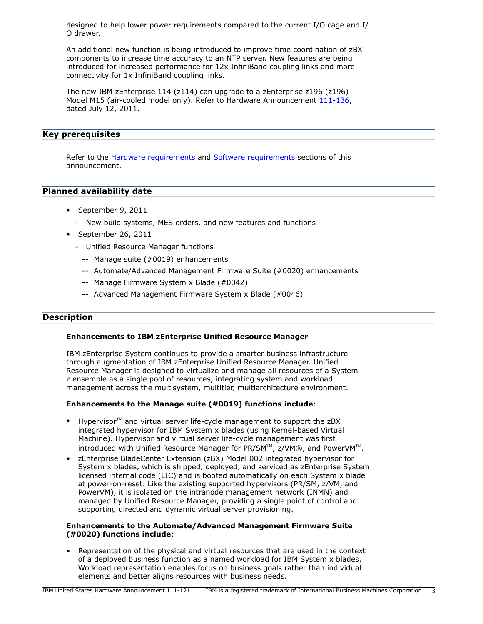designed to help lower power requirements compared to the current I/O cage and I/ O drawer.

An additional new function is being introduced to improve time coordination of zBX components to increase time accuracy to an NTP server. New features are being introduced for increased performance for 12x InfiniBand coupling links and more connectivity for 1x InfiniBand coupling links.

The new IBM zEnterprise 114 (z114) can upgrade to a zEnterprise z196 (z196) Model M15 (air-cooled model only). Refer to Hardware Announcement [111-136](http://www.ibm.com/common/ssi/cgi-bin/ssialias?infotype=an&subtype=ca&appname=gpateam&supplier=897&letternum=ENUS111-136), dated July 12, 2011.

### <span id="page-2-0"></span>Key prerequisites

Refer to the [Hardware requirements](#page-22-0) and [Software requirements](#page-22-1) sections of this announcement.

# <span id="page-2-1"></span>Planned availability date

- September 9, 2011
	- New build systems, MES orders, and new features and functions
- September 26, 2011
	- Unified Resource Manager functions
		- -- Manage suite (#0019) enhancements
		- -- Automate/Advanced Management Firmware Suite (#0020) enhancements
		- -- Manage Firmware System x Blade (#0042)
		- -- Advanced Management Firmware System x Blade (#0046)

### <span id="page-2-2"></span>**Description**

### Enhancements to IBM zEnterprise Unified Resource Manager

IBM zEnterprise System continues to provide a smarter business infrastructure through augmentation of IBM zEnterprise Unified Resource Manager. Unified Resource Manager is designed to virtualize and manage all resources of a System z ensemble as a single pool of resources, integrating system and workload management across the multisystem, multitier, multiarchitecture environment.

### Enhancements to the Manage suite (#0019) functions include:

- Hypervisor $TM$  and virtual server life-cycle management to support the zBX integrated hypervisor for IBM System x blades (using Kernel-based Virtual Machine). Hypervisor and virtual server life-cycle management was first introduced with Unified Resource Manager for PR/SM $\text{m}$ , z/VM®, and PowerVM $\text{m}$ .
- zEnterprise BladeCenter Extension (zBX) Model 002 integrated hypervisor for System x blades, which is shipped, deployed, and serviced as zEnterprise System licensed internal code (LIC) and is booted automatically on each System x blade at power-on-reset. Like the existing supported hypervisors (PR/SM, z/VM, and PowerVM), it is isolated on the intranode management network (INMN) and managed by Unified Resource Manager, providing a single point of control and supporting directed and dynamic virtual server provisioning.

### Enhancements to the Automate/Advanced Management Firmware Suite (#0020) functions include:

• Representation of the physical and virtual resources that are used in the context of a deployed business function as a named workload for IBM System x blades. Workload representation enables focus on business goals rather than individual elements and better aligns resources with business needs.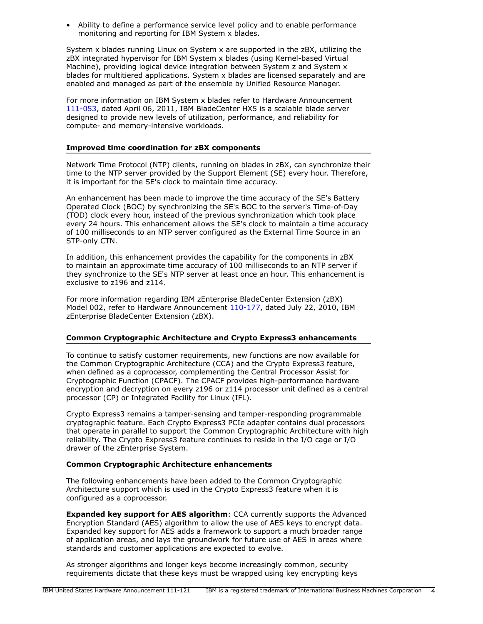• Ability to define a performance service level policy and to enable performance monitoring and reporting for IBM System x blades.

System x blades running Linux on System x are supported in the zBX, utilizing the zBX integrated hypervisor for IBM System x blades (using Kernel-based Virtual Machine), providing logical device integration between System z and System x blades for multitiered applications. System x blades are licensed separately and are enabled and managed as part of the ensemble by Unified Resource Manager.

For more information on IBM System x blades refer to Hardware Announcement [111-053](http://www.ibm.com/common/ssi/cgi-bin/ssialias?infotype=an&subtype=ca&appname=gpateam&supplier=897&letternum=ENUS111-053), dated April 06, 2011, IBM BladeCenter HX5 is a scalable blade server designed to provide new levels of utilization, performance, and reliability for compute- and memory-intensive workloads.

### Improved time coordination for zBX components

Network Time Protocol (NTP) clients, running on blades in zBX, can synchronize their time to the NTP server provided by the Support Element (SE) every hour. Therefore, it is important for the SE's clock to maintain time accuracy.

An enhancement has been made to improve the time accuracy of the SE's Battery Operated Clock (BOC) by synchronizing the SE's BOC to the server's Time-of-Day (TOD) clock every hour, instead of the previous synchronization which took place every 24 hours. This enhancement allows the SE's clock to maintain a time accuracy of 100 milliseconds to an NTP server configured as the External Time Source in an STP-only CTN.

In addition, this enhancement provides the capability for the components in zBX to maintain an approximate time accuracy of 100 milliseconds to an NTP server if they synchronize to the SE's NTP server at least once an hour. This enhancement is exclusive to z196 and z114.

For more information regarding IBM zEnterprise BladeCenter Extension (zBX) Model 002, refer to Hardware Announcement [110-177,](http://www.ibm.com/common/ssi/cgi-bin/ssialias?infotype=an&subtype=ca&appname=gpateam&supplier=897&letternum=ENUS110-177) dated July 22, 2010, IBM zEnterprise BladeCenter Extension (zBX).

# Common Cryptographic Architecture and Crypto Express3 enhancements

To continue to satisfy customer requirements, new functions are now available for the Common Cryptographic Architecture (CCA) and the Crypto Express3 feature, when defined as a coprocessor, complementing the Central Processor Assist for Cryptographic Function (CPACF). The CPACF provides high-performance hardware encryption and decryption on every z196 or z114 processor unit defined as a central processor (CP) or Integrated Facility for Linux (IFL).

Crypto Express3 remains a tamper-sensing and tamper-responding programmable cryptographic feature. Each Crypto Express3 PCIe adapter contains dual processors that operate in parallel to support the Common Cryptographic Architecture with high reliability. The Crypto Express3 feature continues to reside in the I/O cage or I/O drawer of the zEnterprise System.

### Common Cryptographic Architecture enhancements

The following enhancements have been added to the Common Cryptographic Architecture support which is used in the Crypto Express3 feature when it is configured as a coprocessor.

Expanded key support for AES algorithm: CCA currently supports the Advanced Encryption Standard (AES) algorithm to allow the use of AES keys to encrypt data. Expanded key support for AES adds a framework to support a much broader range of application areas, and lays the groundwork for future use of AES in areas where standards and customer applications are expected to evolve.

As stronger algorithms and longer keys become increasingly common, security requirements dictate that these keys must be wrapped using key encrypting keys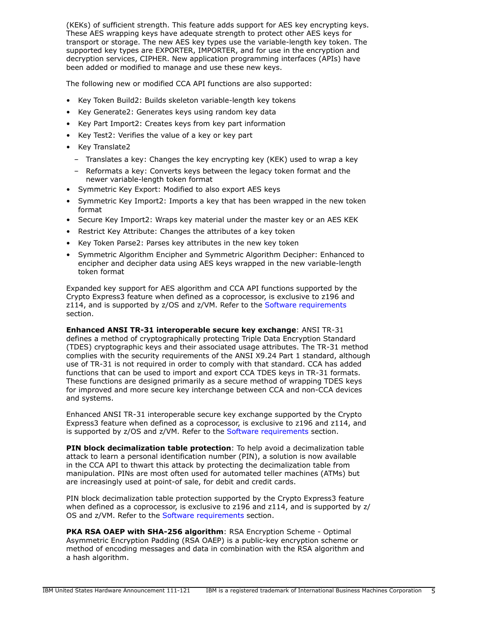(KEKs) of sufficient strength. This feature adds support for AES key encrypting keys. These AES wrapping keys have adequate strength to protect other AES keys for transport or storage. The new AES key types use the variable-length key token. The supported key types are EXPORTER, IMPORTER, and for use in the encryption and decryption services, CIPHER. New application programming interfaces (APIs) have been added or modified to manage and use these new keys.

The following new or modified CCA API functions are also supported:

- Key Token Build2: Builds skeleton variable-length key tokens
- Key Generate2: Generates keys using random key data
- Key Part Import2: Creates keys from key part information
- Key Test2: Verifies the value of a key or key part
- Key Translate2
	- Translates a key: Changes the key encrypting key (KEK) used to wrap a key
	- Reformats a key: Converts keys between the legacy token format and the newer variable-length token format
- Symmetric Key Export: Modified to also export AES keys
- Symmetric Key Import2: Imports a key that has been wrapped in the new token format
- Secure Key Import2: Wraps key material under the master key or an AES KEK
- Restrict Key Attribute: Changes the attributes of a key token
- Key Token Parse2: Parses key attributes in the new key token
- Symmetric Algorithm Encipher and Symmetric Algorithm Decipher: Enhanced to encipher and decipher data using AES keys wrapped in the new variable-length token format

Expanded key support for AES algorithm and CCA API functions supported by the Crypto Express3 feature when defined as a coprocessor, is exclusive to z196 and z114, and is supported by z/OS and z/VM. Refer to the [Software requirements](#page-22-1) section.

Enhanced ANSI TR-31 interoperable secure key exchange: ANSI TR-31 defines a method of cryptographically protecting Triple Data Encryption Standard (TDES) cryptographic keys and their associated usage attributes. The TR-31 method complies with the security requirements of the ANSI X9.24 Part 1 standard, although use of TR-31 is not required in order to comply with that standard. CCA has added functions that can be used to import and export CCA TDES keys in TR-31 formats. These functions are designed primarily as a secure method of wrapping TDES keys for improved and more secure key interchange between CCA and non-CCA devices and systems.

Enhanced ANSI TR-31 interoperable secure key exchange supported by the Crypto Express3 feature when defined as a coprocessor, is exclusive to z196 and z114, and is supported by z/OS and z/VM. Refer to the [Software requirements](#page-22-1) section.

PIN block decimalization table protection: To help avoid a decimalization table attack to learn a personal identification number (PIN), a solution is now available in the CCA API to thwart this attack by protecting the decimalization table from manipulation. PINs are most often used for automated teller machines (ATMs) but are increasingly used at point-of sale, for debit and credit cards.

PIN block decimalization table protection supported by the Crypto Express3 feature when defined as a coprocessor, is exclusive to z196 and z114, and is supported by z/ OS and z/VM. Refer to the [Software requirements](#page-22-1) section.

PKA RSA OAEP with SHA-256 algorithm: RSA Encryption Scheme - Optimal Asymmetric Encryption Padding (RSA OAEP) is a public-key encryption scheme or method of encoding messages and data in combination with the RSA algorithm and a hash algorithm.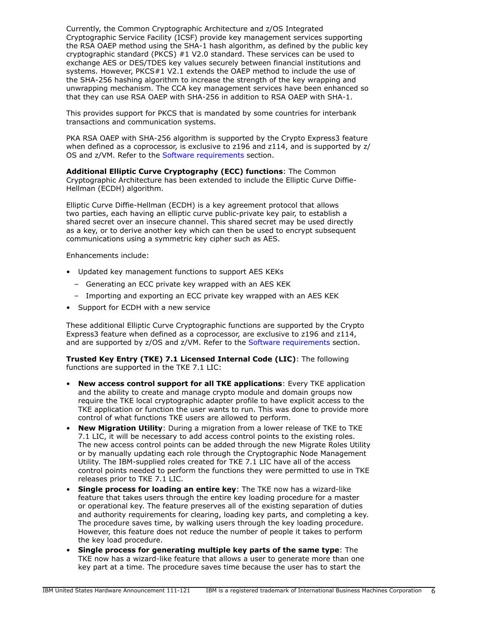Currently, the Common Cryptographic Architecture and z/OS Integrated Cryptographic Service Facility (ICSF) provide key management services supporting the RSA OAEP method using the SHA-1 hash algorithm, as defined by the public key cryptographic standard (PKCS) #1 V2.0 standard. These services can be used to exchange AES or DES/TDES key values securely between financial institutions and systems. However, PKCS#1 V2.1 extends the OAEP method to include the use of the SHA-256 hashing algorithm to increase the strength of the key wrapping and unwrapping mechanism. The CCA key management services have been enhanced so that they can use RSA OAEP with SHA-256 in addition to RSA OAEP with SHA-1.

This provides support for PKCS that is mandated by some countries for interbank transactions and communication systems.

PKA RSA OAEP with SHA-256 algorithm is supported by the Crypto Express3 feature when defined as a coprocessor, is exclusive to z196 and z114, and is supported by z/ OS and z/VM. Refer to the [Software requirements](#page-22-1) section.

Additional Elliptic Curve Cryptography (ECC) functions: The Common Cryptographic Architecture has been extended to include the Elliptic Curve Diffie-Hellman (ECDH) algorithm.

Elliptic Curve Diffie-Hellman (ECDH) is a key agreement protocol that allows two parties, each having an elliptic curve public-private key pair, to establish a shared secret over an insecure channel. This shared secret may be used directly as a key, or to derive another key which can then be used to encrypt subsequent communications using a symmetric key cipher such as AES.

Enhancements include:

- Updated key management functions to support AES KEKs
	- Generating an ECC private key wrapped with an AES KEK
	- Importing and exporting an ECC private key wrapped with an AES KEK
- Support for ECDH with a new service

These additional Elliptic Curve Cryptographic functions are supported by the Crypto Express3 feature when defined as a coprocessor, are exclusive to z196 and z114, and are supported by z/OS and z/VM. Refer to the [Software requirements](#page-22-1) section.

Trusted Key Entry (TKE) 7.1 Licensed Internal Code (LIC): The following functions are supported in the TKE 7.1 LIC:

- New access control support for all TKE applications: Every TKE application and the ability to create and manage crypto module and domain groups now require the TKE local cryptographic adapter profile to have explicit access to the TKE application or function the user wants to run. This was done to provide more control of what functions TKE users are allowed to perform.
- New Migration Utility: During a migration from a lower release of TKE to TKE 7.1 LIC, it will be necessary to add access control points to the existing roles. The new access control points can be added through the new Migrate Roles Utility or by manually updating each role through the Cryptographic Node Management Utility. The IBM-supplied roles created for TKE 7.1 LIC have all of the access control points needed to perform the functions they were permitted to use in TKE releases prior to TKE 7.1 LIC.
- Single process for loading an entire key: The TKE now has a wizard-like feature that takes users through the entire key loading procedure for a master or operational key. The feature preserves all of the existing separation of duties and authority requirements for clearing, loading key parts, and completing a key. The procedure saves time, by walking users through the key loading procedure. However, this feature does not reduce the number of people it takes to perform the key load procedure.
- Single process for generating multiple key parts of the same type: The TKE now has a wizard-like feature that allows a user to generate more than one key part at a time. The procedure saves time because the user has to start the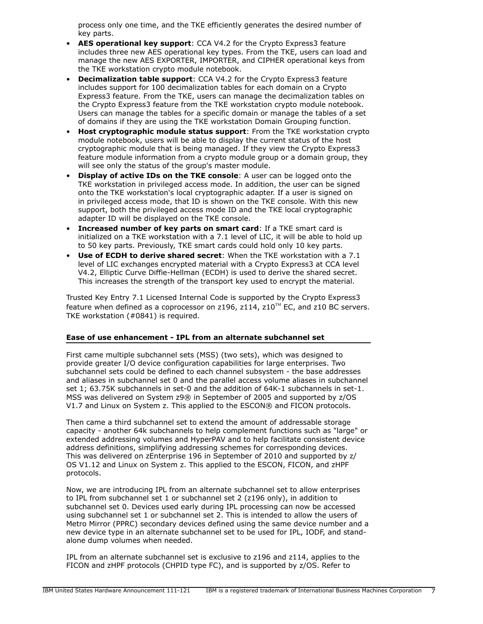process only one time, and the TKE efficiently generates the desired number of key parts.

- AES operational key support: CCA V4.2 for the Crypto Express3 feature includes three new AES operational key types. From the TKE, users can load and manage the new AES EXPORTER, IMPORTER, and CIPHER operational keys from the TKE workstation crypto module notebook.
- **Decimalization table support:** CCA V4.2 for the Crypto Express3 feature includes support for 100 decimalization tables for each domain on a Crypto Express3 feature. From the TKE, users can manage the decimalization tables on the Crypto Express3 feature from the TKE workstation crypto module notebook. Users can manage the tables for a specific domain or manage the tables of a set of domains if they are using the TKE workstation Domain Grouping function.
- **Host cryptographic module status support:** From the TKE workstation crypto module notebook, users will be able to display the current status of the host cryptographic module that is being managed. If they view the Crypto Express3 feature module information from a crypto module group or a domain group, they will see only the status of the group's master module.
- Display of active IDs on the TKE console: A user can be logged onto the TKE workstation in privileged access mode. In addition, the user can be signed onto the TKE workstation's local cryptographic adapter. If a user is signed on in privileged access mode, that ID is shown on the TKE console. With this new support, both the privileged access mode ID and the TKE local cryptographic adapter ID will be displayed on the TKE console.
- Increased number of key parts on smart card: If a TKE smart card is initialized on a TKE workstation with a 7.1 level of LIC, it will be able to hold up to 50 key parts. Previously, TKE smart cards could hold only 10 key parts.
- Use of ECDH to derive shared secret: When the TKE workstation with a 7.1 level of LIC exchanges encrypted material with a Crypto Express3 at CCA level V4.2, Elliptic Curve Diffie-Hellman (ECDH) is used to derive the shared secret. This increases the strength of the transport key used to encrypt the material.

Trusted Key Entry 7.1 Licensed Internal Code is supported by the Crypto Express3 feature when defined as a coprocessor on z196, z114, z10<sup>TM</sup> EC, and z10 BC servers. TKE workstation (#0841) is required.

# Ease of use enhancement - IPL from an alternate subchannel set

First came multiple subchannel sets (MSS) (two sets), which was designed to provide greater I/O device configuration capabilities for large enterprises. Two subchannel sets could be defined to each channel subsystem - the base addresses and aliases in subchannel set 0 and the parallel access volume aliases in subchannel set 1; 63.75K subchannels in set-0 and the addition of 64K-1 subchannels in set-1. MSS was delivered on System z9® in September of 2005 and supported by z/OS V1.7 and Linux on System z. This applied to the ESCON® and FICON protocols.

Then came a third subchannel set to extend the amount of addressable storage capacity - another 64k subchannels to help complement functions such as "large" or extended addressing volumes and HyperPAV and to help facilitate consistent device address definitions, simplifying addressing schemes for corresponding devices. This was delivered on zEnterprise 196 in September of 2010 and supported by z/ OS V1.12 and Linux on System z. This applied to the ESCON, FICON, and zHPF protocols.

Now, we are introducing IPL from an alternate subchannel set to allow enterprises to IPL from subchannel set 1 or subchannel set 2 (z196 only), in addition to subchannel set 0. Devices used early during IPL processing can now be accessed using subchannel set 1 or subchannel set 2. This is intended to allow the users of Metro Mirror (PPRC) secondary devices defined using the same device number and a new device type in an alternate subchannel set to be used for IPL, IODF, and standalone dump volumes when needed.

IPL from an alternate subchannel set is exclusive to z196 and z114, applies to the FICON and zHPF protocols (CHPID type FC), and is supported by z/OS. Refer to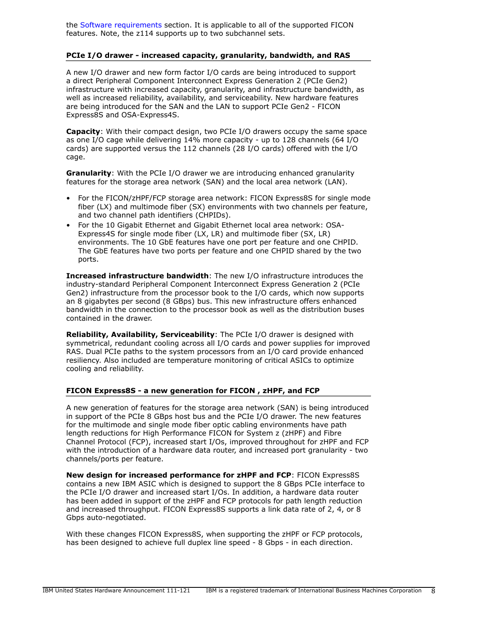the [Software requirements](#page-22-1) section. It is applicable to all of the supported FICON features. Note, the z114 supports up to two subchannel sets.

### PCIe I/O drawer - increased capacity, granularity, bandwidth, and RAS

A new I/O drawer and new form factor I/O cards are being introduced to support a direct Peripheral Component Interconnect Express Generation 2 (PCIe Gen2) infrastructure with increased capacity, granularity, and infrastructure bandwidth, as well as increased reliability, availability, and serviceability. New hardware features are being introduced for the SAN and the LAN to support PCIe Gen2 - FICON Express8S and OSA-Express4S.

Capacity: With their compact design, two PCIe I/O drawers occupy the same space as one I/O cage while delivering 14% more capacity - up to 128 channels (64 I/O cards) are supported versus the 112 channels (28 I/O cards) offered with the I/O cage.

Granularity: With the PCIe I/O drawer we are introducing enhanced granularity features for the storage area network (SAN) and the local area network (LAN).

- For the FICON/zHPF/FCP storage area network: FICON Express8S for single mode fiber (LX) and multimode fiber (SX) environments with two channels per feature, and two channel path identifiers (CHPIDs).
- For the 10 Gigabit Ethernet and Gigabit Ethernet local area network: OSA-Express4S for single mode fiber (LX, LR) and multimode fiber (SX, LR) environments. The 10 GbE features have one port per feature and one CHPID. The GbE features have two ports per feature and one CHPID shared by the two ports.

Increased infrastructure bandwidth: The new I/O infrastructure introduces the industry-standard Peripheral Component Interconnect Express Generation 2 (PCIe Gen2) infrastructure from the processor book to the I/O cards, which now supports an 8 gigabytes per second (8 GBps) bus. This new infrastructure offers enhanced bandwidth in the connection to the processor book as well as the distribution buses contained in the drawer.

Reliability, Availability, Serviceability: The PCIe I/O drawer is designed with symmetrical, redundant cooling across all I/O cards and power supplies for improved RAS. Dual PCIe paths to the system processors from an I/O card provide enhanced resiliency. Also included are temperature monitoring of critical ASICs to optimize cooling and reliability.

### FICON Express8S - a new generation for FICON , zHPF, and FCP

A new generation of features for the storage area network (SAN) is being introduced in support of the PCIe 8 GBps host bus and the PCIe I/O drawer. The new features for the multimode and single mode fiber optic cabling environments have path length reductions for High Performance FICON for System z (zHPF) and Fibre Channel Protocol (FCP), increased start I/Os, improved throughout for zHPF and FCP with the introduction of a hardware data router, and increased port granularity - two channels/ports per feature.

New design for increased performance for zHPF and FCP: FICON Express8S contains a new IBM ASIC which is designed to support the 8 GBps PCIe interface to the PCIe I/O drawer and increased start I/Os. In addition, a hardware data router has been added in support of the zHPF and FCP protocols for path length reduction and increased throughput. FICON Express8S supports a link data rate of 2, 4, or 8 Gbps auto-negotiated.

With these changes FICON Express8S, when supporting the zHPF or FCP protocols, has been designed to achieve full duplex line speed - 8 Gbps - in each direction.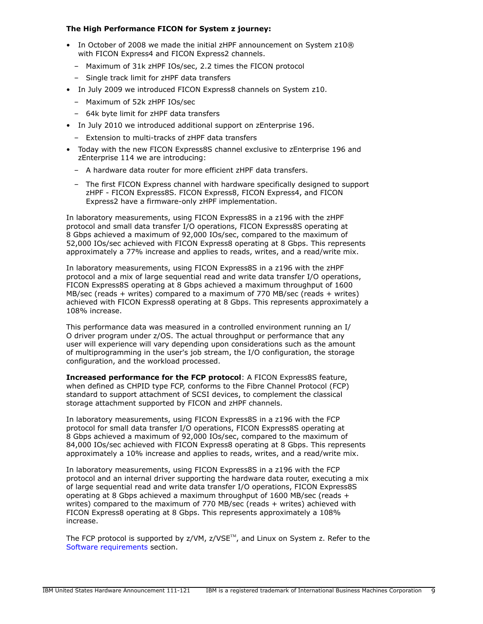# The High Performance FICON for System z journey:

- In October of 2008 we made the initial zHPF announcement on System z10® with FICON Express4 and FICON Express2 channels.
	- Maximum of 31k zHPF IOs/sec, 2.2 times the FICON protocol
	- Single track limit for zHPF data transfers
- In July 2009 we introduced FICON Express8 channels on System z10.
	- Maximum of 52k zHPF IOs/sec
	- 64k byte limit for zHPF data transfers
- In July 2010 we introduced additional support on zEnterprise 196.
	- Extension to multi-tracks of zHPF data transfers
- Today with the new FICON Express8S channel exclusive to zEnterprise 196 and zEnterprise 114 we are introducing:
	- A hardware data router for more efficient zHPF data transfers.
	- The first FICON Express channel with hardware specifically designed to support zHPF - FICON Express8S. FICON Express8, FICON Express4, and FICON Express2 have a firmware-only zHPF implementation.

In laboratory measurements, using FICON Express8S in a z196 with the zHPF protocol and small data transfer I/O operations, FICON Express8S operating at 8 Gbps achieved a maximum of 92,000 IOs/sec, compared to the maximum of 52,000 IOs/sec achieved with FICON Express8 operating at 8 Gbps. This represents approximately a 77% increase and applies to reads, writes, and a read/write mix.

In laboratory measurements, using FICON Express8S in a z196 with the zHPF protocol and a mix of large sequential read and write data transfer I/O operations, FICON Express8S operating at 8 Gbps achieved a maximum throughput of 1600 MB/sec (reads + writes) compared to a maximum of 770 MB/sec (reads + writes) achieved with FICON Express8 operating at 8 Gbps. This represents approximately a 108% increase.

This performance data was measured in a controlled environment running an I/ O driver program under z/OS. The actual throughput or performance that any user will experience will vary depending upon considerations such as the amount of multiprogramming in the user's job stream, the I/O configuration, the storage configuration, and the workload processed.

Increased performance for the FCP protocol: A FICON Express8S feature, when defined as CHPID type FCP, conforms to the Fibre Channel Protocol (FCP) standard to support attachment of SCSI devices, to complement the classical storage attachment supported by FICON and zHPF channels.

In laboratory measurements, using FICON Express8S in a z196 with the FCP protocol for small data transfer I/O operations, FICON Express8S operating at 8 Gbps achieved a maximum of 92,000 IOs/sec, compared to the maximum of 84,000 IOs/sec achieved with FICON Express8 operating at 8 Gbps. This represents approximately a 10% increase and applies to reads, writes, and a read/write mix.

In laboratory measurements, using FICON Express8S in a z196 with the FCP protocol and an internal driver supporting the hardware data router, executing a mix of large sequential read and write data transfer I/O operations, FICON Express8S operating at 8 Gbps achieved a maximum throughput of 1600 MB/sec (reads + writes) compared to the maximum of 770 MB/sec (reads + writes) achieved with FICON Express8 operating at 8 Gbps. This represents approximately a 108% increase.

The FCP protocol is supported by  $z/VM$ ,  $z/VSE^{TM}$ , and Linux on System z. Refer to the [Software requirements](#page-22-1) section.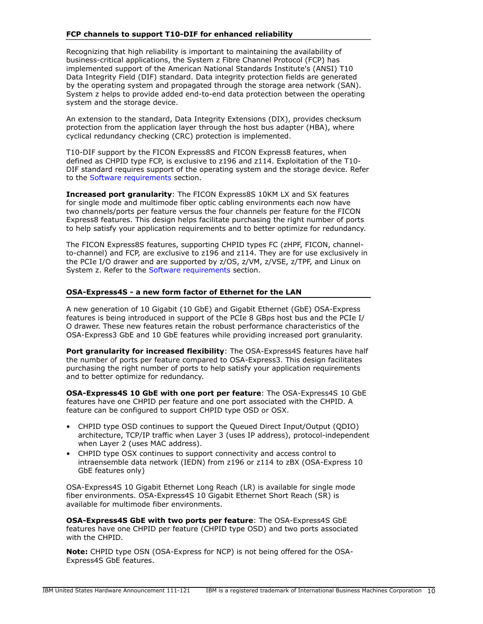### FCP channels to support T10-DIF for enhanced reliability

Recognizing that high reliability is important to maintaining the availability of business-critical applications, the System z Fibre Channel Protocol (FCP) has implemented support of the American National Standards Institute's (ANSI) T10 Data Integrity Field (DIF) standard. Data integrity protection fields are generated by the operating system and propagated through the storage area network (SAN). System z helps to provide added end-to-end data protection between the operating system and the storage device.

An extension to the standard, Data Integrity Extensions (DIX), provides checksum protection from the application layer through the host bus adapter (HBA), where cyclical redundancy checking (CRC) protection is implemented.

T10-DIF support by the FICON Express8S and FICON Express8 features, when defined as CHPID type FCP, is exclusive to z196 and z114. Exploitation of the T10- DIF standard requires support of the operating system and the storage device. Refer to the [Software requirements](#page-22-1) section.

Increased port granularity: The FICON Express8S 10KM LX and SX features for single mode and multimode fiber optic cabling environments each now have two channels/ports per feature versus the four channels per feature for the FICON Express8 features. This design helps facilitate purchasing the right number of ports to help satisfy your application requirements and to better optimize for redundancy.

The FICON Express8S features, supporting CHPID types FC (zHPF, FICON, channelto-channel) and FCP, are exclusive to z196 and z114. They are for use exclusively in the PCIe I/O drawer and are supported by z/OS, z/VM, z/VSE, z/TPF, and Linux on System z. Refer to the [Software requirements](#page-22-1) section.

#### OSA-Express4S - a new form factor of Ethernet for the LAN

A new generation of 10 Gigabit (10 GbE) and Gigabit Ethernet (GbE) OSA-Express features is being introduced in support of the PCIe 8 GBps host bus and the PCIe I/ O drawer. These new features retain the robust performance characteristics of the OSA-Express3 GbE and 10 GbE features while providing increased port granularity.

Port granularity for increased flexibility: The OSA-Express4S features have half the number of ports per feature compared to OSA-Express3. This design facilitates purchasing the right number of ports to help satisfy your application requirements and to better optimize for redundancy.

OSA-Express4S 10 GbE with one port per feature: The OSA-Express4S 10 GbE features have one CHPID per feature and one port associated with the CHPID. A feature can be configured to support CHPID type OSD or OSX.

- CHPID type OSD continues to support the Queued Direct Input/Output (QDIO) architecture, TCP/IP traffic when Layer 3 (uses IP address), protocol-independent when Layer 2 (uses MAC address).
- CHPID type OSX continues to support connectivity and access control to intraensemble data network (IEDN) from z196 or z114 to zBX (OSA-Express 10 GbE features only)

OSA-Express4S 10 Gigabit Ethernet Long Reach (LR) is available for single mode fiber environments. OSA-Express4S 10 Gigabit Ethernet Short Reach (SR) is available for multimode fiber environments.

OSA-Express4S GbE with two ports per feature: The OSA-Express4S GbE features have one CHPID per feature (CHPID type OSD) and two ports associated with the CHPID.

Note: CHPID type OSN (OSA-Express for NCP) is not being offered for the OSA-Express4S GbE features.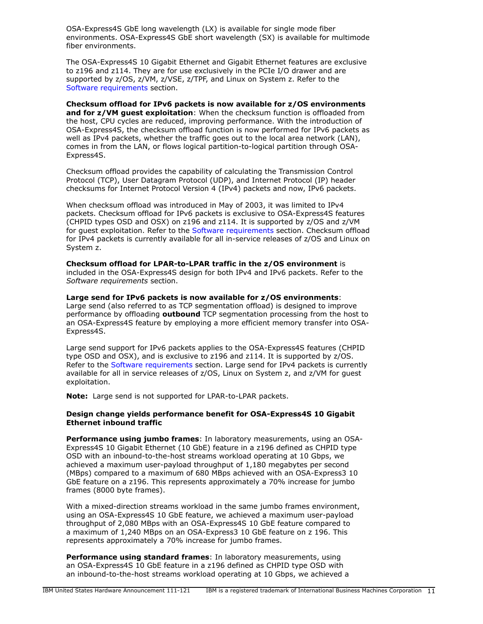OSA-Express4S GbE long wavelength (LX) is available for single mode fiber environments. OSA-Express4S GbE short wavelength (SX) is available for multimode fiber environments.

The OSA-Express4S 10 Gigabit Ethernet and Gigabit Ethernet features are exclusive to z196 and z114. They are for use exclusively in the PCIe I/O drawer and are supported by z/OS, z/VM, z/VSE, z/TPF, and Linux on System z. Refer to the [Software requirements](#page-22-1) section.

Checksum offload for IPv6 packets is now available for z/OS environments and for  $z/VM$  guest exploitation: When the checksum function is offloaded from the host, CPU cycles are reduced, improving performance. With the introduction of OSA-Express4S, the checksum offload function is now performed for IPv6 packets as well as IPv4 packets, whether the traffic goes out to the local area network (LAN), comes in from the LAN, or flows logical partition-to-logical partition through OSA-Express4S.

Checksum offload provides the capability of calculating the Transmission Control Protocol (TCP), User Datagram Protocol (UDP), and Internet Protocol (IP) header checksums for Internet Protocol Version 4 (IPv4) packets and now, IPv6 packets.

When checksum offload was introduced in May of 2003, it was limited to IPv4 packets. Checksum offload for IPv6 packets is exclusive to OSA-Express4S features (CHPID types OSD and OSX) on z196 and z114. It is supported by z/OS and z/VM for guest exploitation. Refer to the [Software requirements](#page-22-1) section. Checksum offload for IPv4 packets is currently available for all in-service releases of z/OS and Linux on System z.

Checksum offload for LPAR-to-LPAR traffic in the z/OS environment is included in the OSA-Express4S design for both IPv4 and IPv6 packets. Refer to the *Software requirements* section.

Large send for IPv6 packets is now available for z/OS environments: Large send (also referred to as TCP segmentation offload) is designed to improve performance by offloading outbound TCP segmentation processing from the host to an OSA-Express4S feature by employing a more efficient memory transfer into OSA-Express4S.

Large send support for IPv6 packets applies to the OSA-Express4S features (CHPID type OSD and OSX), and is exclusive to z196 and z114. It is supported by z/OS. Refer to the [Software requirements](#page-22-1) section. Large send for IPv4 packets is currently available for all in service releases of z/OS, Linux on System z, and z/VM for guest exploitation.

Note: Large send is not supported for LPAR-to-LPAR packets.

### Design change yields performance benefit for OSA-Express4S 10 Gigabit Ethernet inbound traffic

**Performance using jumbo frames:** In laboratory measurements, using an OSA-Express4S 10 Gigabit Ethernet (10 GbE) feature in a z196 defined as CHPID type OSD with an inbound-to-the-host streams workload operating at 10 Gbps, we achieved a maximum user-payload throughput of 1,180 megabytes per second (MBps) compared to a maximum of 680 MBps achieved with an OSA-Express3 10 GbE feature on a z196. This represents approximately a 70% increase for jumbo frames (8000 byte frames).

With a mixed-direction streams workload in the same jumbo frames environment, using an OSA-Express4S 10 GbE feature, we achieved a maximum user-payload throughput of 2,080 MBps with an OSA-Express4S 10 GbE feature compared to a maximum of 1,240 MBps on an OSA-Express3 10 GbE feature on z 196. This represents approximately a 70% increase for jumbo frames.

**Performance using standard frames:** In laboratory measurements, using an OSA-Express4S 10 GbE feature in a z196 defined as CHPID type OSD with an inbound-to-the-host streams workload operating at 10 Gbps, we achieved a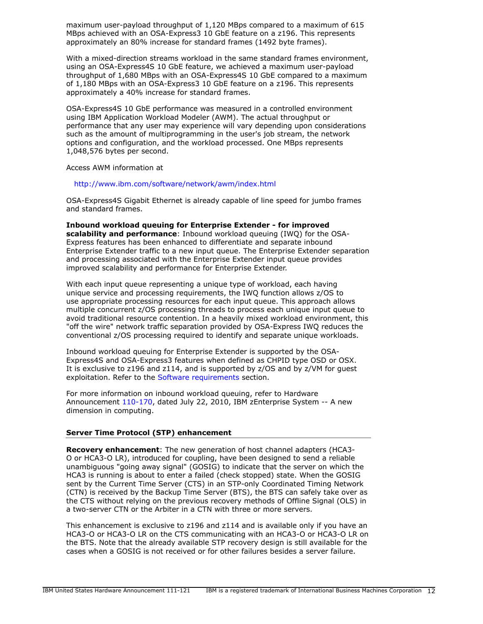maximum user-payload throughput of 1,120 MBps compared to a maximum of 615 MBps achieved with an OSA-Express3 10 GbE feature on a z196. This represents approximately an 80% increase for standard frames (1492 byte frames).

With a mixed-direction streams workload in the same standard frames environment, using an OSA-Express4S 10 GbE feature, we achieved a maximum user-payload throughput of 1,680 MBps with an OSA-Express4S 10 GbE compared to a maximum of 1,180 MBps with an OSA-Express3 10 GbE feature on a z196. This represents approximately a 40% increase for standard frames.

OSA-Express4S 10 GbE performance was measured in a controlled environment using IBM Application Workload Modeler (AWM). The actual throughput or performance that any user may experience will vary depending upon considerations such as the amount of multiprogramming in the user's job stream, the network options and configuration, and the workload processed. One MBps represents 1,048,576 bytes per second.

Access AWM information at

<http://www.ibm.com/software/network/awm/index.html>

OSA-Express4S Gigabit Ethernet is already capable of line speed for jumbo frames and standard frames.

Inbound workload queuing for Enterprise Extender - for improved scalability and performance: Inbound workload queuing (IWQ) for the OSA-Express features has been enhanced to differentiate and separate inbound Enterprise Extender traffic to a new input queue. The Enterprise Extender separation and processing associated with the Enterprise Extender input queue provides improved scalability and performance for Enterprise Extender.

With each input queue representing a unique type of workload, each having unique service and processing requirements, the IWQ function allows z/OS to use appropriate processing resources for each input queue. This approach allows multiple concurrent z/OS processing threads to process each unique input queue to avoid traditional resource contention. In a heavily mixed workload environment, this "off the wire" network traffic separation provided by OSA-Express IWQ reduces the conventional z/OS processing required to identify and separate unique workloads.

Inbound workload queuing for Enterprise Extender is supported by the OSA-Express4S and OSA-Express3 features when defined as CHPID type OSD or OSX. It is exclusive to z196 and z114, and is supported by z/OS and by z/VM for guest exploitation. Refer to the [Software requirements](#page-22-1) section.

For more information on inbound workload queuing, refer to Hardware Announcement [110-170](http://www.ibm.com/common/ssi/cgi-bin/ssialias?infotype=an&subtype=ca&appname=gpateam&supplier=897&letternum=ENUS110-170), dated July 22, 2010, IBM zEnterprise System -- A new dimension in computing.

### Server Time Protocol (STP) enhancement

Recovery enhancement: The new generation of host channel adapters (HCA3- O or HCA3-O LR), introduced for coupling, have been designed to send a reliable unambiguous "going away signal" (GOSIG) to indicate that the server on which the HCA3 is running is about to enter a failed (check stopped) state. When the GOSIG sent by the Current Time Server (CTS) in an STP-only Coordinated Timing Network (CTN) is received by the Backup Time Server (BTS), the BTS can safely take over as the CTS without relying on the previous recovery methods of Offline Signal (OLS) in a two-server CTN or the Arbiter in a CTN with three or more servers.

This enhancement is exclusive to z196 and z114 and is available only if you have an HCA3-O or HCA3-O LR on the CTS communicating with an HCA3-O or HCA3-O LR on the BTS. Note that the already available STP recovery design is still available for the cases when a GOSIG is not received or for other failures besides a server failure.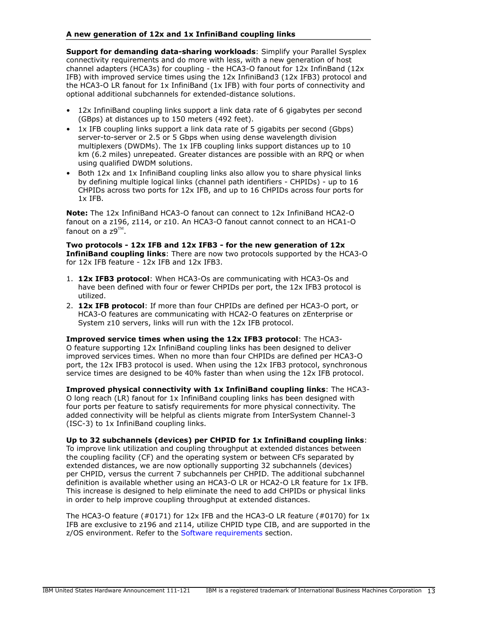### A new generation of 12x and 1x InfiniBand coupling links

Support for demanding data-sharing workloads: Simplify your Parallel Sysplex connectivity requirements and do more with less, with a new generation of host channel adapters (HCA3s) for coupling - the HCA3-O fanout for 12x InfinBand (12x IFB) with improved service times using the 12x InfiniBand3 (12x IFB3) protocol and the HCA3-O LR fanout for 1x InfiniBand (1x IFB) with four ports of connectivity and optional additional subchannels for extended-distance solutions.

- 12x InfiniBand coupling links support a link data rate of 6 gigabytes per second (GBps) at distances up to 150 meters (492 feet).
- 1x IFB coupling links support a link data rate of 5 gigabits per second (Gbps) server-to-server or 2.5 or 5 Gbps when using dense wavelength division multiplexers (DWDMs). The 1x IFB coupling links support distances up to 10 km (6.2 miles) unrepeated. Greater distances are possible with an RPQ or when using qualified DWDM solutions.
- Both 12x and 1x InfiniBand coupling links also allow you to share physical links by defining multiple logical links (channel path identifiers - CHPIDs) - up to 16 CHPIDs across two ports for 12x IFB, and up to 16 CHPIDs across four ports for 1x IFB.

Note: The 12x InfiniBand HCA3-O fanout can connect to 12x InfiniBand HCA2-O fanout on a z196, z114, or z10. An HCA3-O fanout cannot connect to an HCA1-O fanout on a z $9^{\text{\tiny{TM}}}.$ 

Two protocols - 12x IFB and 12x IFB3 - for the new generation of 12x InfiniBand coupling links: There are now two protocols supported by the HCA3-O for 12x IFB feature - 12x IFB and 12x IFB3.

- 1. 12x IFB3 protocol: When HCA3-Os are communicating with HCA3-Os and have been defined with four or fewer CHPIDs per port, the 12x IFB3 protocol is utilized.
- 2. 12x IFB protocol: If more than four CHPIDs are defined per HCA3-O port, or HCA3-O features are communicating with HCA2-O features on zEnterprise or System z10 servers, links will run with the 12x IFB protocol.

Improved service times when using the 12x IFB3 protocol: The HCA3- O feature supporting 12x InfiniBand coupling links has been designed to deliver improved services times. When no more than four CHPIDs are defined per HCA3-O port, the 12x IFB3 protocol is used. When using the 12x IFB3 protocol, synchronous service times are designed to be 40% faster than when using the 12x IFB protocol.

Improved physical connectivity with 1x InfiniBand coupling links: The HCA3- O long reach (LR) fanout for 1x InfiniBand coupling links has been designed with four ports per feature to satisfy requirements for more physical connectivity. The added connectivity will be helpful as clients migrate from InterSystem Channel-3 (ISC-3) to 1x InfiniBand coupling links.

Up to 32 subchannels (devices) per CHPID for 1x InfiniBand coupling links:

To improve link utilization and coupling throughput at extended distances between the coupling facility (CF) and the operating system or between CFs separated by extended distances, we are now optionally supporting 32 subchannels (devices) per CHPID, versus the current 7 subchannels per CHPID. The additional subchannel definition is available whether using an HCA3-O LR or HCA2-O LR feature for 1x IFB. This increase is designed to help eliminate the need to add CHPIDs or physical links in order to help improve coupling throughput at extended distances.

The HCA3-O feature (#0171) for 12x IFB and the HCA3-O LR feature (#0170) for 1x IFB are exclusive to z196 and z114, utilize CHPID type CIB, and are supported in the z/OS environment. Refer to the [Software requirements](#page-22-1) section.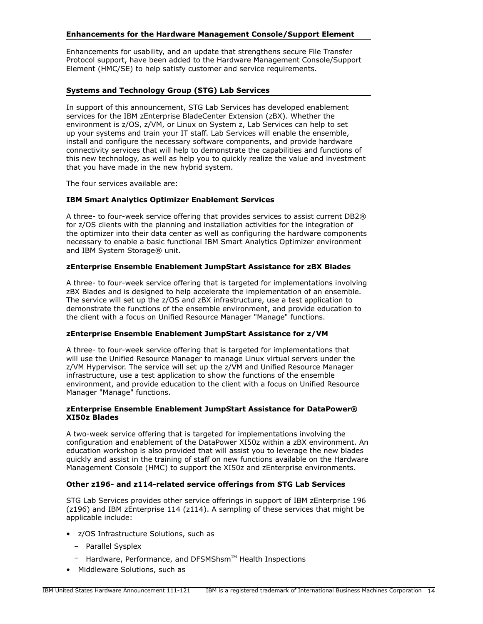### Enhancements for the Hardware Management Console/Support Element

Enhancements for usability, and an update that strengthens secure File Transfer Protocol support, have been added to the Hardware Management Console/Support Element (HMC/SE) to help satisfy customer and service requirements.

### Systems and Technology Group (STG) Lab Services

In support of this announcement, STG Lab Services has developed enablement services for the IBM zEnterprise BladeCenter Extension (zBX). Whether the environment is z/OS, z/VM, or Linux on System z, Lab Services can help to set up your systems and train your IT staff. Lab Services will enable the ensemble, install and configure the necessary software components, and provide hardware connectivity services that will help to demonstrate the capabilities and functions of this new technology, as well as help you to quickly realize the value and investment that you have made in the new hybrid system.

The four services available are:

### IBM Smart Analytics Optimizer Enablement Services

A three- to four-week service offering that provides services to assist current DB2® for z/OS clients with the planning and installation activities for the integration of the optimizer into their data center as well as configuring the hardware components necessary to enable a basic functional IBM Smart Analytics Optimizer environment and IBM System Storage® unit.

### zEnterprise Ensemble Enablement JumpStart Assistance for zBX Blades

A three- to four-week service offering that is targeted for implementations involving zBX Blades and is designed to help accelerate the implementation of an ensemble. The service will set up the z/OS and zBX infrastructure, use a test application to demonstrate the functions of the ensemble environment, and provide education to the client with a focus on Unified Resource Manager "Manage" functions.

### zEnterprise Ensemble Enablement JumpStart Assistance for z/VM

A three- to four-week service offering that is targeted for implementations that will use the Unified Resource Manager to manage Linux virtual servers under the z/VM Hypervisor. The service will set up the z/VM and Unified Resource Manager infrastructure, use a test application to show the functions of the ensemble environment, and provide education to the client with a focus on Unified Resource Manager "Manage" functions.

### zEnterprise Ensemble Enablement JumpStart Assistance for DataPower® XI50z Blades

A two-week service offering that is targeted for implementations involving the configuration and enablement of the DataPower XI50z within a zBX environment. An education workshop is also provided that will assist you to leverage the new blades quickly and assist in the training of staff on new functions available on the Hardware Management Console (HMC) to support the XI50z and zEnterprise environments.

### Other z196- and z114-related service offerings from STG Lab Services

STG Lab Services provides other service offerings in support of IBM zEnterprise 196 (z196) and IBM zEnterprise 114 (z114). A sampling of these services that might be applicable include:

- z/OS Infrastructure Solutions, such as
	- Parallel Sysplex
	- $-$  Hardware, Performance, and DFSMShsm<sup>TM</sup> Health Inspections
- Middleware Solutions, such as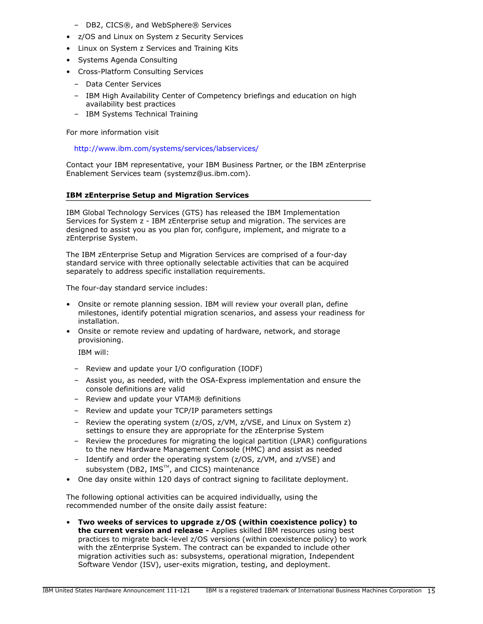- DB2, CICS®, and WebSphere® Services
- z/OS and Linux on System z Security Services
- Linux on System z Services and Training Kits
- Systems Agenda Consulting
- Cross-Platform Consulting Services
	- Data Center Services
	- IBM High Availability Center of Competency briefings and education on high availability best practices
	- IBM Systems Technical Training

For more information visit

<http://www.ibm.com/systems/services/labservices/>

Contact your IBM representative, your IBM Business Partner, or the IBM zEnterprise Enablement Services team (systemz@us.ibm.com).

# IBM zEnterprise Setup and Migration Services

IBM Global Technology Services (GTS) has released the IBM Implementation Services for System z - IBM zEnterprise setup and migration. The services are designed to assist you as you plan for, configure, implement, and migrate to a zEnterprise System.

The IBM zEnterprise Setup and Migration Services are comprised of a four-day standard service with three optionally selectable activities that can be acquired separately to address specific installation requirements.

The four-day standard service includes:

- Onsite or remote planning session. IBM will review your overall plan, define milestones, identify potential migration scenarios, and assess your readiness for installation.
- Onsite or remote review and updating of hardware, network, and storage provisioning.

IBM will:

- Review and update your I/O configuration (IODF)
- Assist you, as needed, with the OSA-Express implementation and ensure the console definitions are valid
- Review and update your VTAM® definitions
- Review and update your TCP/IP parameters settings
- Review the operating system (z/OS, z/VM, z/VSE, and Linux on System z) settings to ensure they are appropriate for the zEnterprise System
- Review the procedures for migrating the logical partition (LPAR) configurations to the new Hardware Management Console (HMC) and assist as needed
- Identify and order the operating system (z/OS, z/VM, and z/VSE) and subsystem (DB2,  $IMS^{m}$ , and CICS) maintenance
- One day onsite within 120 days of contract signing to facilitate deployment.

The following optional activities can be acquired individually, using the recommended number of the onsite daily assist feature:

• Two weeks of services to upgrade z/OS (within coexistence policy) to the current version and release - Applies skilled IBM resources using best practices to migrate back-level z/OS versions (within coexistence policy) to work with the zEnterprise System. The contract can be expanded to include other migration activities such as: subsystems, operational migration, Independent Software Vendor (ISV), user-exits migration, testing, and deployment.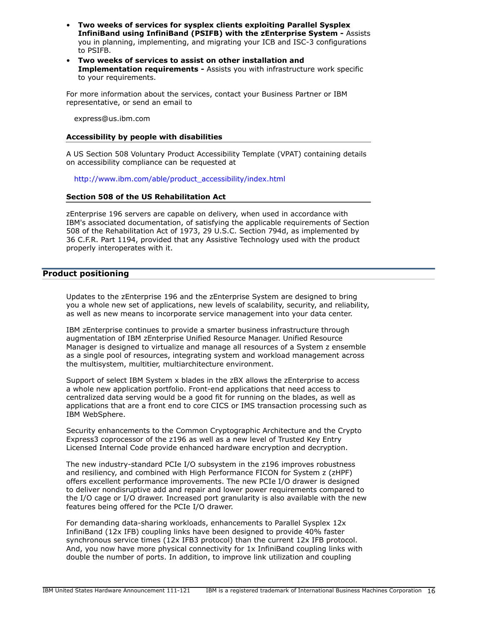- Two weeks of services for sysplex clients exploiting Parallel Sysplex InfiniBand using InfiniBand (PSIFB) with the zEnterprise System - Assists you in planning, implementing, and migrating your ICB and ISC-3 configurations to PSIFB.
- Two weeks of services to assist on other installation and Implementation requirements - Assists you with infrastructure work specific to your requirements.

For more information about the services, contact your Business Partner or IBM representative, or send an email to

express@us.ibm.com

### Accessibility by people with disabilities

A US Section 508 Voluntary Product Accessibility Template (VPAT) containing details on accessibility compliance can be requested at

[http://www.ibm.com/able/product\\_accessibility/index.html](http://www.ibm.com/able/product_accessibility/index.html)

### Section 508 of the US Rehabilitation Act

zEnterprise 196 servers are capable on delivery, when used in accordance with IBM's associated documentation, of satisfying the applicable requirements of Section 508 of the Rehabilitation Act of 1973, 29 U.S.C. Section 794d, as implemented by 36 C.F.R. Part 1194, provided that any Assistive Technology used with the product properly interoperates with it.

# <span id="page-15-0"></span>Product positioning

Updates to the zEnterprise 196 and the zEnterprise System are designed to bring you a whole new set of applications, new levels of scalability, security, and reliability, as well as new means to incorporate service management into your data center.

IBM zEnterprise continues to provide a smarter business infrastructure through augmentation of IBM zEnterprise Unified Resource Manager. Unified Resource Manager is designed to virtualize and manage all resources of a System z ensemble as a single pool of resources, integrating system and workload management across the multisystem, multitier, multiarchitecture environment.

Support of select IBM System x blades in the zBX allows the zEnterprise to access a whole new application portfolio. Front-end applications that need access to centralized data serving would be a good fit for running on the blades, as well as applications that are a front end to core CICS or IMS transaction processing such as IBM WebSphere.

Security enhancements to the Common Cryptographic Architecture and the Crypto Express3 coprocessor of the z196 as well as a new level of Trusted Key Entry Licensed Internal Code provide enhanced hardware encryption and decryption.

The new industry-standard PCIe I/O subsystem in the z196 improves robustness and resiliency, and combined with High Performance FICON for System z (zHPF) offers excellent performance improvements. The new PCIe I/O drawer is designed to deliver nondisruptive add and repair and lower power requirements compared to the I/O cage or I/O drawer. Increased port granularity is also available with the new features being offered for the PCIe I/O drawer.

For demanding data-sharing workloads, enhancements to Parallel Sysplex 12x InfiniBand (12x IFB) coupling links have been designed to provide 40% faster synchronous service times (12x IFB3 protocol) than the current 12x IFB protocol. And, you now have more physical connectivity for 1x InfiniBand coupling links with double the number of ports. In addition, to improve link utilization and coupling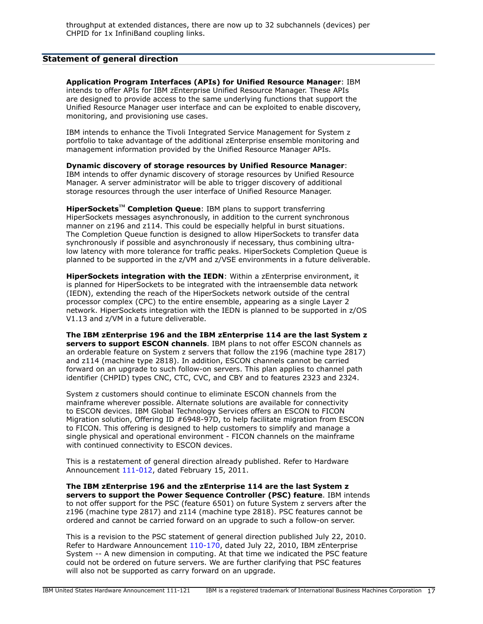# <span id="page-16-0"></span>Statement of general direction

Application Program Interfaces (APIs) for Unified Resource Manager: IBM intends to offer APIs for IBM zEnterprise Unified Resource Manager. These APIs are designed to provide access to the same underlying functions that support the Unified Resource Manager user interface and can be exploited to enable discovery, monitoring, and provisioning use cases.

IBM intends to enhance the Tivoli Integrated Service Management for System z portfolio to take advantage of the additional zEnterprise ensemble monitoring and management information provided by the Unified Resource Manager APIs.

Dynamic discovery of storage resources by Unified Resource Manager: IBM intends to offer dynamic discovery of storage resources by Unified Resource Manager. A server administrator will be able to trigger discovery of additional storage resources through the user interface of Unified Resource Manager.

HiperSockets<sup>™</sup> Completion Queue: IBM plans to support transferring HiperSockets messages asynchronously, in addition to the current synchronous manner on z196 and z114. This could be especially helpful in burst situations. The Completion Queue function is designed to allow HiperSockets to transfer data synchronously if possible and asynchronously if necessary, thus combining ultralow latency with more tolerance for traffic peaks. HiperSockets Completion Queue is planned to be supported in the z/VM and z/VSE environments in a future deliverable.

HiperSockets integration with the IEDN: Within a zEnterprise environment, it is planned for HiperSockets to be integrated with the intraensemble data network (IEDN), extending the reach of the HiperSockets network outside of the central processor complex (CPC) to the entire ensemble, appearing as a single Layer 2 network. HiperSockets integration with the IEDN is planned to be supported in z/OS V1.13 and z/VM in a future deliverable.

The IBM zEnterprise 196 and the IBM zEnterprise 114 are the last System z servers to support ESCON channels. IBM plans to not offer ESCON channels as an orderable feature on System z servers that follow the z196 (machine type 2817) and z114 (machine type 2818). In addition, ESCON channels cannot be carried forward on an upgrade to such follow-on servers. This plan applies to channel path identifier (CHPID) types CNC, CTC, CVC, and CBY and to features 2323 and 2324.

System z customers should continue to eliminate ESCON channels from the mainframe wherever possible. Alternate solutions are available for connectivity to ESCON devices. IBM Global Technology Services offers an ESCON to FICON Migration solution, Offering ID #6948-97D, to help facilitate migration from ESCON to FICON. This offering is designed to help customers to simplify and manage a single physical and operational environment - FICON channels on the mainframe with continued connectivity to ESCON devices.

This is a restatement of general direction already published. Refer to Hardware Announcement [111-012](http://www.ibm.com/common/ssi/cgi-bin/ssialias?infotype=an&subtype=ca&appname=gpateam&supplier=897&letternum=ENUS111-012), dated February 15, 2011.

The IBM zEnterprise 196 and the zEnterprise 114 are the last System z servers to support the Power Sequence Controller (PSC) feature. IBM intends to not offer support for the PSC (feature 6501) on future System z servers after the z196 (machine type 2817) and z114 (machine type 2818). PSC features cannot be ordered and cannot be carried forward on an upgrade to such a follow-on server.

This is a revision to the PSC statement of general direction published July 22, 2010. Refer to Hardware Announcement [110-170,](http://www.ibm.com/common/ssi/cgi-bin/ssialias?infotype=an&subtype=ca&appname=gpateam&supplier=897&letternum=ENUS110-170) dated July 22, 2010, IBM zEnterprise System -- A new dimension in computing. At that time we indicated the PSC feature could not be ordered on future servers. We are further clarifying that PSC features will also not be supported as carry forward on an upgrade.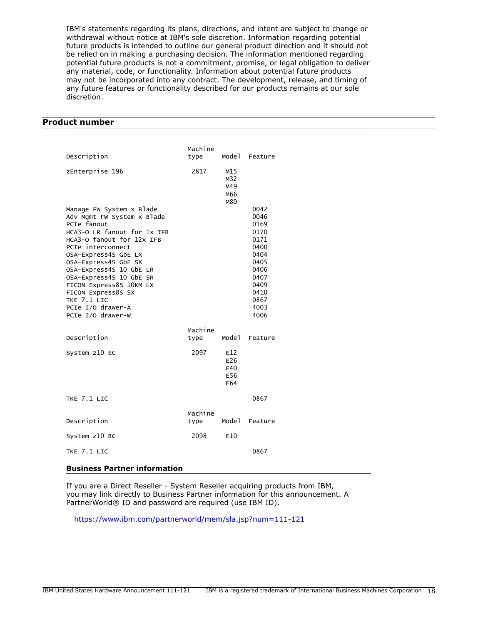IBM's statements regarding its plans, directions, and intent are subject to change or withdrawal without notice at IBM's sole discretion. Information regarding potential future products is intended to outline our general product direction and it should not be relied on in making a purchasing decision. The information mentioned regarding potential future products is not a commitment, promise, or legal obligation to deliver any material, code, or functionality. Information about potential future products may not be incorporated into any contract. The development, release, and timing of any future features or functionality described for our products remains at our sole discretion.

# <span id="page-17-0"></span>Product number

| Description                                                                                                                                                                                                                                                                                                                                                            | Machine         | Model                           |                                                                                                                      |
|------------------------------------------------------------------------------------------------------------------------------------------------------------------------------------------------------------------------------------------------------------------------------------------------------------------------------------------------------------------------|-----------------|---------------------------------|----------------------------------------------------------------------------------------------------------------------|
|                                                                                                                                                                                                                                                                                                                                                                        | type            |                                 | Feature                                                                                                              |
| zEnterprise 196                                                                                                                                                                                                                                                                                                                                                        | 2817            | M15<br>M32<br>M49<br>M66<br>M80 |                                                                                                                      |
| Manage FW System x Blade<br>Adv Mgmt FW System x Blade<br>PCIe fanout<br>HCA3-O LR fanout for 1x IFB<br>HCA3-0 fanout for 12x IFB<br>PCIe interconnect<br>OSA-Express4S GbE LX<br>OSA-Express4S GbE SX<br>OSA-Express4S 10 GbE LR<br>OSA-Express4S 10 GbE SR<br>FICON Express8S 10KM LX<br>FICON Express8S SX<br>TKE 7.1 LIC<br>PCIe I/O drawer-A<br>PCIe I/O drawer-W |                 |                                 | 0042<br>0046<br>0169<br>0170<br>0171<br>0400<br>0404<br>0405<br>0406<br>0407<br>0409<br>0410<br>0867<br>4003<br>4006 |
| Description                                                                                                                                                                                                                                                                                                                                                            | Machine<br>type | Model                           | Feature                                                                                                              |
| System z10 EC                                                                                                                                                                                                                                                                                                                                                          | 2097            | E12<br>E26<br>E40<br>E56<br>E64 |                                                                                                                      |
| TKE 7.1 LIC                                                                                                                                                                                                                                                                                                                                                            |                 |                                 | 0867                                                                                                                 |
| Description                                                                                                                                                                                                                                                                                                                                                            | Machine<br>type | Model                           | Feature                                                                                                              |
| System z10 BC                                                                                                                                                                                                                                                                                                                                                          | 2098            | E10                             |                                                                                                                      |
| TKE 7.1 LIC                                                                                                                                                                                                                                                                                                                                                            |                 |                                 | 0867                                                                                                                 |

#### Business Partner information

If you are a Direct Reseller - System Reseller acquiring products from IBM, you may link directly to Business Partner information for this announcement. A PartnerWorld® ID and password are required (use IBM ID).

<https://www.ibm.com/partnerworld/mem/sla.jsp?num=111-121>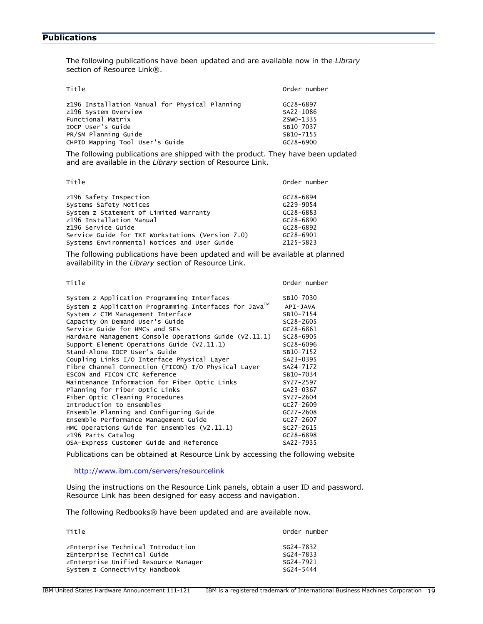# <span id="page-18-0"></span>**Publications**

The following publications have been updated and are available now in the *Library* section of Resource Link®.

| Title                                                                                                                                                                       | Order number                                                               |
|-----------------------------------------------------------------------------------------------------------------------------------------------------------------------------|----------------------------------------------------------------------------|
| z196 Installation Manual for Physical Planning<br>z196 System Overview<br>Functional Matrix<br>TOCP User's Guide<br>PR/SM Planning Guide<br>CHPID Mapping Tool User's Guide | GC28-6897<br>SA22-1086<br>ZSW0-1335<br>SB10-7037<br>SB10-7155<br>GC28-6900 |
|                                                                                                                                                                             |                                                                            |

The following publications are shipped with the product. They have been updated and are available in the *Library* section of Resource Link.

| Title                                            | Order number  |
|--------------------------------------------------|---------------|
| z196 Safety Inspection                           | GC28-6894     |
| Systems Safety Notices                           | G229-9054     |
| System z Statement of Limited Warranty           | GC28-6883     |
| z196 Installation Manual                         | $GC28 - 6890$ |
| z196 Service Guide                               | $GC28 - 6892$ |
| Service Guide for TKE Workstations (Version 7.0) | $GC28 - 6901$ |
| Systems Environmental Notices and User Guide     | Z125-5823     |

The following publications have been updated and will be available at planned availability in the *Library* section of Resource Link.

Title **The Community Community** Community Community Community Community Community Community Community Community Community Community Community Community Community Community Community Community Community Community Community

| System z Application Programming Interfaces              | SB10-7030     |
|----------------------------------------------------------|---------------|
| System z Application Programming Interfaces for Java™    | API-JAVA      |
| System z CIM Management Interface                        | SB10-7154     |
| Capacity On Demand User's Guide                          | SC28-2605     |
| Service Guide for HMCs and SES                           | GC28-6861     |
| Hardware Management Console Operations Guide $(V2.11.1)$ | SC28-6905     |
| Support Element Operations Guide (V2.11.1)               | SC28-6096     |
| Stand-Alone IOCP User's Guide                            | SB10-7152     |
| Coupling Links I/O Interface Physical Layer              | SA23-0395     |
| Fibre Channel Connection (FICON) I/O Physical Layer      | SA24-7172     |
| ESCON and FICON CTC Reference                            | SB10-7034     |
| Maintenance Information for Fiber Optic Links            | SY27-2597     |
| Planning for Fiber Optic Links                           | GA23-0367     |
| Fiber Optic Cleaning Procedures                          | SY27-2604     |
| Introduction to Ensembles                                | $GC27 - 2609$ |
| Ensemble Planning and Configuring Guide                  | $GC27 - 2608$ |
| Ensemble Performance Management Guide                    | GC27-2607     |
| HMC Operations Guide for Ensembles $(V2.11.1)$           | $SC27 - 2615$ |
| z196 Parts Catalog                                       | GC28-6898     |
| OSA-Express Customer Guide and Reference                 | SA22-7935     |

Publications can be obtained at Resource Link by accessing the following website

### <http://www.ibm.com/servers/resourcelink>

Using the instructions on the Resource Link panels, obtain a user ID and password. Resource Link has been designed for easy access and navigation.

The following Redbooks® have been updated and are available now.

| Title                                | Order number  |
|--------------------------------------|---------------|
| zEnterprise Technical Introduction   | SG24-7832     |
| zEnterprise Technical Guide          | SG24-7833     |
| zEnterprise Unified Resource Manager | SG24-7921     |
| System z Connectivity Handbook       | $SG24 - 5444$ |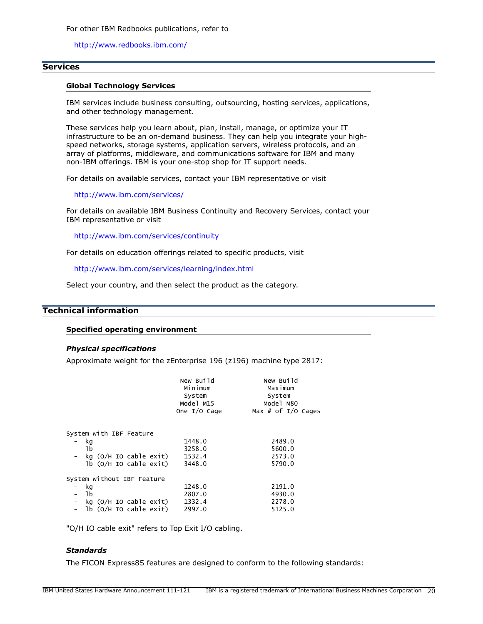For other IBM Redbooks publications, refer to

<http://www.redbooks.ibm.com/>

### **Services**

### Global Technology Services

IBM services include business consulting, outsourcing, hosting services, applications, and other technology management.

These services help you learn about, plan, install, manage, or optimize your IT infrastructure to be an on-demand business. They can help you integrate your highspeed networks, storage systems, application servers, wireless protocols, and an array of platforms, middleware, and communications software for IBM and many non-IBM offerings. IBM is your one-stop shop for IT support needs.

For details on available services, contact your IBM representative or visit

<http://www.ibm.com/services/>

For details on available IBM Business Continuity and Recovery Services, contact your IBM representative or visit

<http://www.ibm.com/services/continuity>

For details on education offerings related to specific products, visit

<http://www.ibm.com/services/learning/index.html>

Select your country, and then select the product as the category.

# <span id="page-19-0"></span>Technical information

### Specified operating environment

#### *Physical specifications*

Approximate weight for the zEnterprise 196 (z196) machine type 2817:

|                            | New Build<br>Minimum<br>System<br>Model M15<br>One I/O Cage | New Build<br>Maximum<br>System<br>Model M80<br>Max # of $I/O$ Cages |
|----------------------------|-------------------------------------------------------------|---------------------------------------------------------------------|
| System with IBF Feature    |                                                             |                                                                     |
| - kg                       | 1448.0                                                      | 2489.0                                                              |
| – 1b                       | 3258.0                                                      | 5600.0                                                              |
| - kg (O/H IO cable exit)   | 1532.4                                                      | 2573.0                                                              |
| Tb (O/H IO cable exit)     | 3448.0                                                      | 5790.0                                                              |
| System without IBF Feature |                                                             |                                                                     |
| kg                         | 1248.0                                                      | 2191.0                                                              |
| 1b                         | 2807.0                                                      | 4930.0                                                              |
| kg (O/H IO cable exit)     | 1332.4                                                      | 2278.0                                                              |
| - lb (O/H IO cable exit)   | 2997.0                                                      | 5125.0                                                              |
|                            |                                                             |                                                                     |

"O/H IO cable exit" refers to Top Exit I/O cabling.

# *Standards*

The FICON Express8S features are designed to conform to the following standards: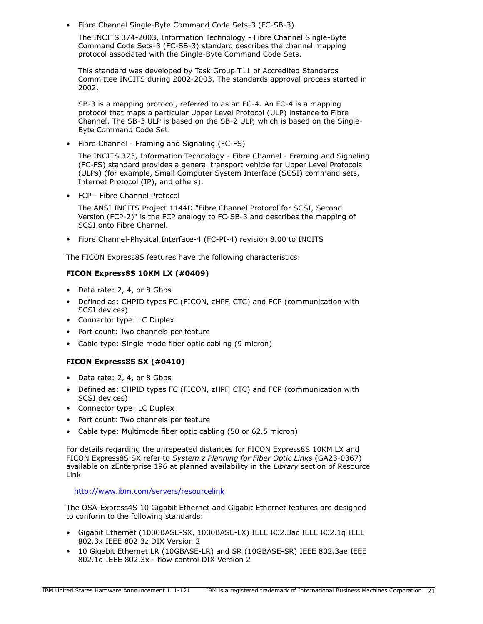• Fibre Channel Single-Byte Command Code Sets-3 (FC-SB-3)

The INCITS 374-2003, Information Technology - Fibre Channel Single-Byte Command Code Sets-3 (FC-SB-3) standard describes the channel mapping protocol associated with the Single-Byte Command Code Sets.

This standard was developed by Task Group T11 of Accredited Standards Committee INCITS during 2002-2003. The standards approval process started in 2002.

SB-3 is a mapping protocol, referred to as an FC-4. An FC-4 is a mapping protocol that maps a particular Upper Level Protocol (ULP) instance to Fibre Channel. The SB-3 ULP is based on the SB-2 ULP, which is based on the Single-Byte Command Code Set.

• Fibre Channel - Framing and Signaling (FC-FS)

The INCITS 373, Information Technology - Fibre Channel - Framing and Signaling (FC-FS) standard provides a general transport vehicle for Upper Level Protocols (ULPs) (for example, Small Computer System Interface (SCSI) command sets, Internet Protocol (IP), and others).

• FCP - Fibre Channel Protocol

The ANSI INCITS Project 1144D "Fibre Channel Protocol for SCSI, Second Version (FCP-2)" is the FCP analogy to FC-SB-3 and describes the mapping of SCSI onto Fibre Channel.

• Fibre Channel-Physical Interface-4 (FC-PI-4) revision 8.00 to INCITS

The FICON Express8S features have the following characteristics:

# FICON Express8S 10KM LX (#0409)

- Data rate: 2, 4, or 8 Gbps
- Defined as: CHPID types FC (FICON, zHPF, CTC) and FCP (communication with SCSI devices)
- Connector type: LC Duplex
- Port count: Two channels per feature
- Cable type: Single mode fiber optic cabling (9 micron)

# FICON Express8S SX (#0410)

- Data rate: 2, 4, or 8 Gbps
- Defined as: CHPID types FC (FICON, zHPF, CTC) and FCP (communication with SCSI devices)
- Connector type: LC Duplex
- Port count: Two channels per feature
- Cable type: Multimode fiber optic cabling (50 or 62.5 micron)

For details regarding the unrepeated distances for FICON Express8S 10KM LX and FICON Express8S SX refer to *System z Planning for Fiber Optic Links* (GA23-0367) available on zEnterprise 196 at planned availability in the *Library* section of Resource Link

### <http://www.ibm.com/servers/resourcelink>

The OSA-Express4S 10 Gigabit Ethernet and Gigabit Ethernet features are designed to conform to the following standards:

- Gigabit Ethernet (1000BASE-SX, 1000BASE-LX) IEEE 802.3ac IEEE 802.1q IEEE 802.3x IEEE 802.3z DIX Version 2
- 10 Gigabit Ethernet LR (10GBASE-LR) and SR (10GBASE-SR) IEEE 802.3ae IEEE 802.1q IEEE 802.3x - flow control DIX Version 2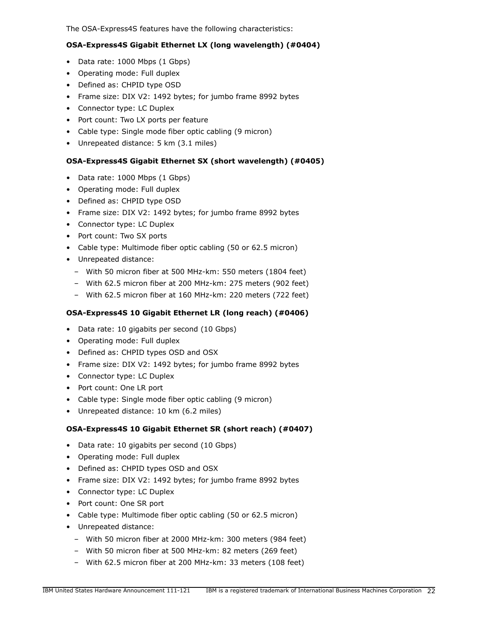The OSA-Express4S features have the following characteristics:

# OSA-Express4S Gigabit Ethernet LX (long wavelength) (#0404)

- Data rate: 1000 Mbps (1 Gbps)
- Operating mode: Full duplex
- Defined as: CHPID type OSD
- Frame size: DIX V2: 1492 bytes; for jumbo frame 8992 bytes
- Connector type: LC Duplex
- Port count: Two LX ports per feature
- Cable type: Single mode fiber optic cabling (9 micron)
- Unrepeated distance: 5 km (3.1 miles)

# OSA-Express4S Gigabit Ethernet SX (short wavelength) (#0405)

- Data rate: 1000 Mbps (1 Gbps)
- Operating mode: Full duplex
- Defined as: CHPID type OSD
- Frame size: DIX V2: 1492 bytes; for jumbo frame 8992 bytes
- Connector type: LC Duplex
- Port count: Two SX ports
- Cable type: Multimode fiber optic cabling (50 or 62.5 micron)
- Unrepeated distance:
	- With 50 micron fiber at 500 MHz-km: 550 meters (1804 feet)
	- With 62.5 micron fiber at 200 MHz-km: 275 meters (902 feet)
	- With 62.5 micron fiber at 160 MHz-km: 220 meters (722 feet)

# OSA-Express4S 10 Gigabit Ethernet LR (long reach) (#0406)

- Data rate: 10 gigabits per second (10 Gbps)
- Operating mode: Full duplex
- Defined as: CHPID types OSD and OSX
- Frame size: DIX V2: 1492 bytes; for jumbo frame 8992 bytes
- Connector type: LC Duplex
- Port count: One LR port
- Cable type: Single mode fiber optic cabling (9 micron)
- Unrepeated distance: 10 km (6.2 miles)

# OSA-Express4S 10 Gigabit Ethernet SR (short reach) (#0407)

- Data rate: 10 gigabits per second (10 Gbps)
- Operating mode: Full duplex
- Defined as: CHPID types OSD and OSX
- Frame size: DIX V2: 1492 bytes; for jumbo frame 8992 bytes
- Connector type: LC Duplex
- Port count: One SR port
- Cable type: Multimode fiber optic cabling (50 or 62.5 micron)
- Unrepeated distance:
	- With 50 micron fiber at 2000 MHz-km: 300 meters (984 feet)
	- With 50 micron fiber at 500 MHz-km: 82 meters (269 feet)
	- With 62.5 micron fiber at 200 MHz-km: 33 meters (108 feet)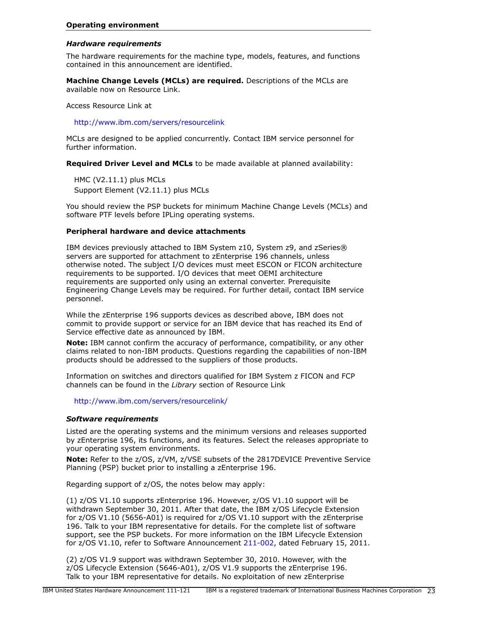### <span id="page-22-0"></span>*Hardware requirements*

The hardware requirements for the machine type, models, features, and functions contained in this announcement are identified.

Machine Change Levels (MCLs) are required. Descriptions of the MCLs are available now on Resource Link.

Access Resource Link at

<http://www.ibm.com/servers/resourcelink>

MCLs are designed to be applied concurrently. Contact IBM service personnel for further information.

Required Driver Level and MCLs to be made available at planned availability:

HMC (V2.11.1) plus MCLs Support Element (V2.11.1) plus MCLs

You should review the PSP buckets for minimum Machine Change Levels (MCLs) and software PTF levels before IPLing operating systems.

# Peripheral hardware and device attachments

IBM devices previously attached to IBM System z10, System z9, and zSeries® servers are supported for attachment to zEnterprise 196 channels, unless otherwise noted. The subject I/O devices must meet ESCON or FICON architecture requirements to be supported. I/O devices that meet OEMI architecture requirements are supported only using an external converter. Prerequisite Engineering Change Levels may be required. For further detail, contact IBM service personnel.

While the zEnterprise 196 supports devices as described above, IBM does not commit to provide support or service for an IBM device that has reached its End of Service effective date as announced by IBM.

Note: IBM cannot confirm the accuracy of performance, compatibility, or any other claims related to non-IBM products. Questions regarding the capabilities of non-IBM products should be addressed to the suppliers of those products.

Information on switches and directors qualified for IBM System z FICON and FCP channels can be found in the *Library* section of Resource Link

<http://www.ibm.com/servers/resourcelink/>

### <span id="page-22-1"></span>*Software requirements*

Listed are the operating systems and the minimum versions and releases supported by zEnterprise 196, its functions, and its features. Select the releases appropriate to your operating system environments.

Note: Refer to the z/OS, z/VM, z/VSE subsets of the 2817DEVICE Preventive Service Planning (PSP) bucket prior to installing a zEnterprise 196.

Regarding support of z/OS, the notes below may apply:

(1) z/OS V1.10 supports zEnterprise 196. However, z/OS V1.10 support will be withdrawn September 30, 2011. After that date, the IBM z/OS Lifecycle Extension for z/OS V1.10 (5656-A01) is required for z/OS V1.10 support with the zEnterprise 196. Talk to your IBM representative for details. For the complete list of software support, see the PSP buckets. For more information on the IBM Lifecycle Extension for z/OS V1.10, refer to Software Announcement [211-002](http://www.ibm.com/common/ssi/cgi-bin/ssialias?infotype=an&subtype=ca&appname=gpateam&supplier=897&letternum=ENUS211-002), dated February 15, 2011.

(2) z/OS V1.9 support was withdrawn September 30, 2010. However, with the z/OS Lifecycle Extension (5646-A01), z/OS V1.9 supports the zEnterprise 196. Talk to your IBM representative for details. No exploitation of new zEnterprise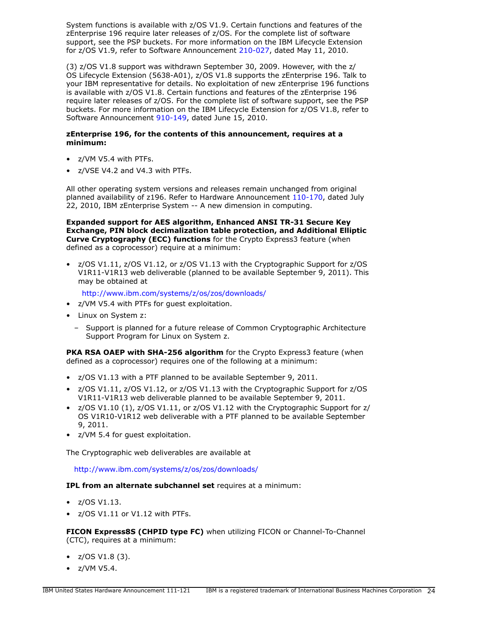System functions is available with z/OS V1.9. Certain functions and features of the zEnterprise 196 require later releases of z/OS. For the complete list of software support, see the PSP buckets. For more information on the IBM Lifecycle Extension for z/OS V1.9, refer to Software Announcement [210-027,](http://www.ibm.com/common/ssi/cgi-bin/ssialias?infotype=an&subtype=ca&appname=gpateam&supplier=897&letternum=ENUS210-027) dated May 11, 2010.

(3) z/OS V1.8 support was withdrawn September 30, 2009. However, with the z/ OS Lifecycle Extension (5638-A01), z/OS V1.8 supports the zEnterprise 196. Talk to your IBM representative for details. No exploitation of new zEnterprise 196 functions is available with z/OS V1.8. Certain functions and features of the zEnterprise 196 require later releases of z/OS. For the complete list of software support, see the PSP buckets. For more information on the IBM Lifecycle Extension for z/OS V1.8, refer to Software Announcement [910-149,](http://www.ibm.com/common/ssi/cgi-bin/ssialias?infotype=an&subtype=ca&appname=gpateam&supplier=897&letternum=ENUS910-149) dated June 15, 2010.

### zEnterprise 196, for the contents of this announcement, requires at a minimum:

- z/VM V5.4 with PTFs.
- z/VSE V4.2 and V4.3 with PTFs.

All other operating system versions and releases remain unchanged from original planned availability of z196. Refer to Hardware Announcement [110-170](http://www.ibm.com/common/ssi/cgi-bin/ssialias?infotype=an&subtype=ca&appname=gpateam&supplier=897&letternum=ENUS110-170), dated July 22, 2010, IBM zEnterprise System -- A new dimension in computing.

Expanded support for AES algorithm, Enhanced ANSI TR-31 Secure Key Exchange, PIN block decimalization table protection, and Additional Elliptic Curve Cryptography (ECC) functions for the Crypto Express3 feature (when defined as a coprocessor) require at a minimum:

• z/OS V1.11, z/OS V1.12, or z/OS V1.13 with the Cryptographic Support for z/OS V1R11-V1R13 web deliverable (planned to be available September 9, 2011). This may be obtained at

<http://www.ibm.com/systems/z/os/zos/downloads/>

- z/VM V5.4 with PTFs for guest exploitation.
- Linux on System z:
	- Support is planned for a future release of Common Cryptographic Architecture Support Program for Linux on System z.

PKA RSA OAEP with SHA-256 algorithm for the Crypto Express3 feature (when defined as a coprocessor) requires one of the following at a minimum:

- z/OS V1.13 with a PTF planned to be available September 9, 2011.
- z/OS V1.11, z/OS V1.12, or z/OS V1.13 with the Cryptographic Support for z/OS V1R11-V1R13 web deliverable planned to be available September 9, 2011.
- z/OS V1.10 (1), z/OS V1.11, or z/OS V1.12 with the Cryptographic Support for z/ OS V1R10-V1R12 web deliverable with a PTF planned to be available September 9, 2011.
- z/VM 5.4 for guest exploitation.

The Cryptographic web deliverables are available at

<http://www.ibm.com/systems/z/os/zos/downloads/>

IPL from an alternate subchannel set requires at a minimum:

- $\bullet$  z/OS V1.13.
- z/OS V1.11 or V1.12 with PTFs.

FICON Express8S (CHPID type FC) when utilizing FICON or Channel-To-Channel (CTC), requires at a minimum:

- $Z/OS V1.8 (3)$ .
- z/VM V5.4.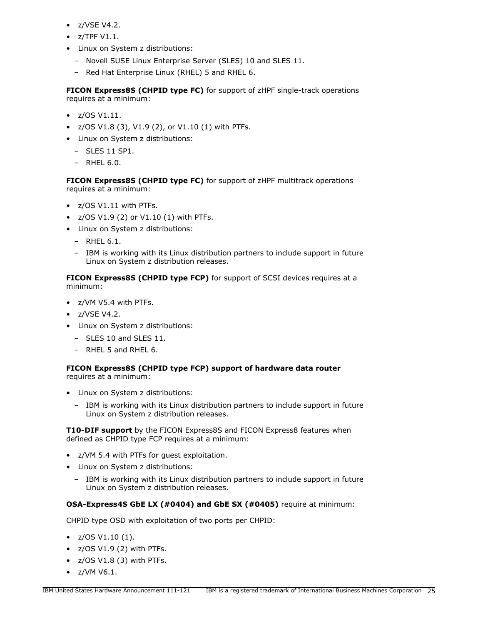- z/VSE V4.2.
- $\bullet$  z/TPF V1.1.
- Linux on System z distributions:
	- Novell SUSE Linux Enterprise Server (SLES) 10 and SLES 11.
	- Red Hat Enterprise Linux (RHEL) 5 and RHEL 6.

FICON Express8S (CHPID type FC) for support of zHPF single-track operations requires at a minimum:

- z/OS V1.11.
- $Z/OS V1.8 (3)$ ,  $V1.9 (2)$ , or  $V1.10 (1)$  with PTFs.
- Linux on System z distributions:
	- SLES 11 SP1.
	- RHEL 6.0.

FICON Express8S (CHPID type FC) for support of zHPF multitrack operations requires at a minimum:

- z/OS V1.11 with PTFs.
- z/OS V1.9 (2) or V1.10 (1) with PTFs.
- Linux on System z distributions:
	- RHEL 6.1.
	- IBM is working with its Linux distribution partners to include support in future Linux on System z distribution releases.

FICON Express8S (CHPID type FCP) for support of SCSI devices requires at a minimum:

- z/VM V5.4 with PTFs.
- z/VSE V4.2.
- Linux on System z distributions:
	- SLES 10 and SLES 11.
	- RHEL 5 and RHEL 6.

# FICON Express8S (CHPID type FCP) support of hardware data router

requires at a minimum:

- Linux on System z distributions:
	- IBM is working with its Linux distribution partners to include support in future Linux on System z distribution releases.

**T10-DIF support** by the FICON Express8S and FICON Express8 features when defined as CHPID type FCP requires at a minimum:

- z/VM 5.4 with PTFs for guest exploitation.
- Linux on System z distributions:
	- IBM is working with its Linux distribution partners to include support in future Linux on System z distribution releases.

# OSA-Express4S GbE LX (#0404) and GbE SX (#0405) require at minimum:

CHPID type OSD with exploitation of two ports per CHPID:

- $Z/OS V1.10(1)$ .
- z/OS V1.9 (2) with PTFs.
- z/OS V1.8 (3) with PTFs.
- z/VM V6.1.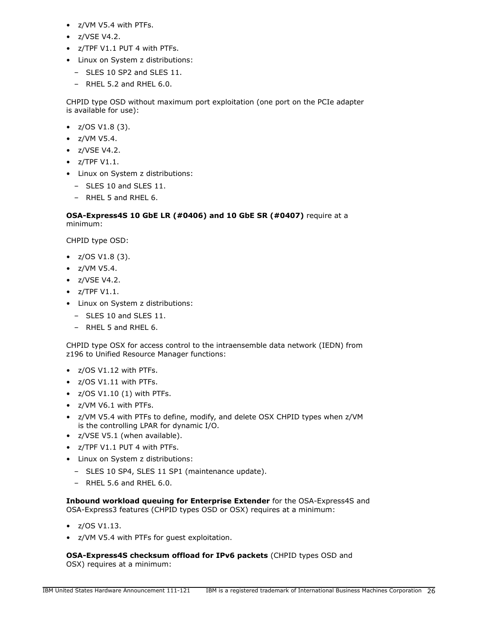- z/VM V5.4 with PTFs.
- z/VSE V4.2.
- z/TPF V1.1 PUT 4 with PTFs.
- Linux on System z distributions:
	- SLES 10 SP2 and SLES 11.
	- RHEL 5.2 and RHEL 6.0.

CHPID type OSD without maximum port exploitation (one port on the PCIe adapter is available for use):

- $Z/OS V1.8 (3)$ .
- z/VM V5.4.
- z/VSE V4.2.
- $\bullet$  z/TPF V1.1.
- Linux on System z distributions:
	- SLES 10 and SLES 11.
	- RHEL 5 and RHEL 6.

# OSA-Express4S 10 GbE LR (#0406) and 10 GbE SR (#0407) require at a minimum:

CHPID type OSD:

- $Z/OS V1.8 (3)$ .
- z/VM V5.4.
- z/VSE V4.2.
- $\bullet$  z/TPF V1.1.
- Linux on System z distributions:
	- SLES 10 and SLES 11.
	- RHEL 5 and RHEL 6.

CHPID type OSX for access control to the intraensemble data network (IEDN) from z196 to Unified Resource Manager functions:

- z/OS V1.12 with PTFs.
- z/OS V1.11 with PTFs.
- $\bullet$  z/OS V1.10 (1) with PTFs.
- z/VM V6.1 with PTFs.
- z/VM V5.4 with PTFs to define, modify, and delete OSX CHPID types when z/VM is the controlling LPAR for dynamic I/O.
- z/VSE V5.1 (when available).
- z/TPF V1.1 PUT 4 with PTFs.
- Linux on System z distributions:
	- SLES 10 SP4, SLES 11 SP1 (maintenance update).
	- $-$  RHFL 5.6 and RHFL 6.0.

Inbound workload queuing for Enterprise Extender for the OSA-Express4S and OSA-Express3 features (CHPID types OSD or OSX) requires at a minimum:

- $\bullet$  z/OS V1.13.
- z/VM V5.4 with PTFs for guest exploitation.

OSA-Express4S checksum offload for IPv6 packets (CHPID types OSD and OSX) requires at a minimum: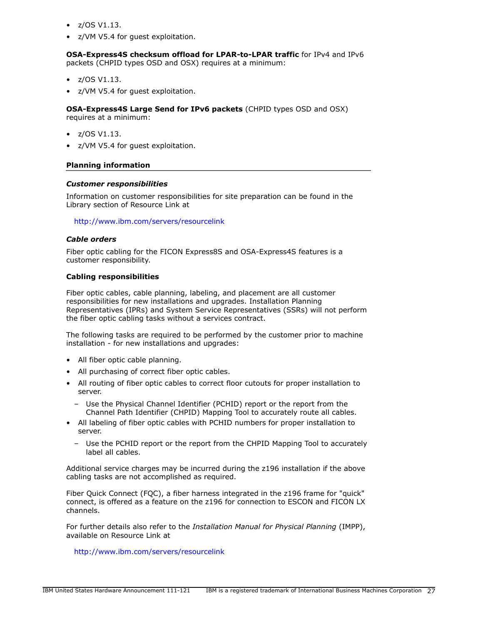- $\bullet$  z/OS V1.13.
- z/VM V5.4 for guest exploitation.

OSA-Express4S checksum offload for LPAR-to-LPAR traffic for IPv4 and IPv6 packets (CHPID types OSD and OSX) requires at a minimum:

- z/OS V1.13.
- z/VM V5.4 for guest exploitation.

OSA-Express4S Large Send for IPv6 packets (CHPID types OSD and OSX) requires at a minimum:

- $\bullet$  z/OS V1.13.
- z/VM V5.4 for guest exploitation.

### Planning information

### *Customer responsibilities*

Information on customer responsibilities for site preparation can be found in the Library section of Resource Link at

<http://www.ibm.com/servers/resourcelink>

### *Cable orders*

Fiber optic cabling for the FICON Express8S and OSA-Express4S features is a customer responsibility.

### Cabling responsibilities

Fiber optic cables, cable planning, labeling, and placement are all customer responsibilities for new installations and upgrades. Installation Planning Representatives (IPRs) and System Service Representatives (SSRs) will not perform the fiber optic cabling tasks without a services contract.

The following tasks are required to be performed by the customer prior to machine installation - for new installations and upgrades:

- All fiber optic cable planning.
- All purchasing of correct fiber optic cables.
- All routing of fiber optic cables to correct floor cutouts for proper installation to server.
	- Use the Physical Channel Identifier (PCHID) report or the report from the Channel Path Identifier (CHPID) Mapping Tool to accurately route all cables.
- All labeling of fiber optic cables with PCHID numbers for proper installation to server.
	- Use the PCHID report or the report from the CHPID Mapping Tool to accurately label all cables.

Additional service charges may be incurred during the z196 installation if the above cabling tasks are not accomplished as required.

Fiber Quick Connect (FQC), a fiber harness integrated in the z196 frame for "quick" connect, is offered as a feature on the z196 for connection to ESCON and FICON LX channels.

For further details also refer to the *Installation Manual for Physical Planning* (IMPP), available on Resource Link at

<http://www.ibm.com/servers/resourcelink>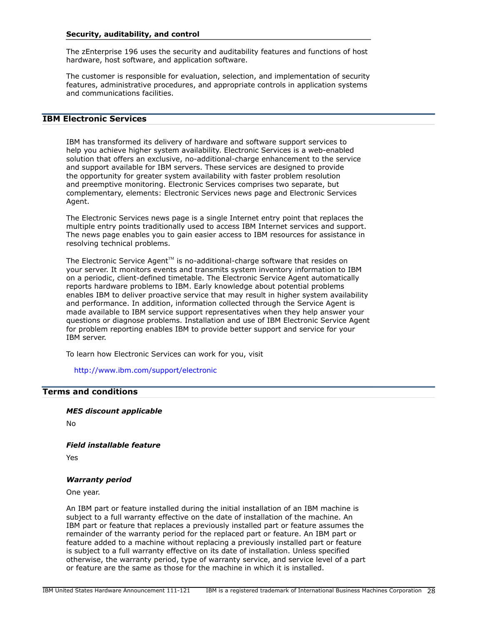#### Security, auditability, and control

The zEnterprise 196 uses the security and auditability features and functions of host hardware, host software, and application software.

The customer is responsible for evaluation, selection, and implementation of security features, administrative procedures, and appropriate controls in application systems and communications facilities.

# IBM Electronic Services

IBM has transformed its delivery of hardware and software support services to help you achieve higher system availability. Electronic Services is a web-enabled solution that offers an exclusive, no-additional-charge enhancement to the service and support available for IBM servers. These services are designed to provide the opportunity for greater system availability with faster problem resolution and preemptive monitoring. Electronic Services comprises two separate, but complementary, elements: Electronic Services news page and Electronic Services Agent.

The Electronic Services news page is a single Internet entry point that replaces the multiple entry points traditionally used to access IBM Internet services and support. The news page enables you to gain easier access to IBM resources for assistance in resolving technical problems.

The Electronic Service Agent<sup> $M$ </sup> is no-additional-charge software that resides on your server. It monitors events and transmits system inventory information to IBM on a periodic, client-defined timetable. The Electronic Service Agent automatically reports hardware problems to IBM. Early knowledge about potential problems enables IBM to deliver proactive service that may result in higher system availability and performance. In addition, information collected through the Service Agent is made available to IBM service support representatives when they help answer your questions or diagnose problems. Installation and use of IBM Electronic Service Agent for problem reporting enables IBM to provide better support and service for your IBM server.

To learn how Electronic Services can work for you, visit

<http://www.ibm.com/support/electronic>

# <span id="page-27-0"></span>Terms and conditions

*MES discount applicable*

No

*Field installable feature*

Yes

#### *Warranty period*

One year.

An IBM part or feature installed during the initial installation of an IBM machine is subject to a full warranty effective on the date of installation of the machine. An IBM part or feature that replaces a previously installed part or feature assumes the remainder of the warranty period for the replaced part or feature. An IBM part or feature added to a machine without replacing a previously installed part or feature is subject to a full warranty effective on its date of installation. Unless specified otherwise, the warranty period, type of warranty service, and service level of a part or feature are the same as those for the machine in which it is installed.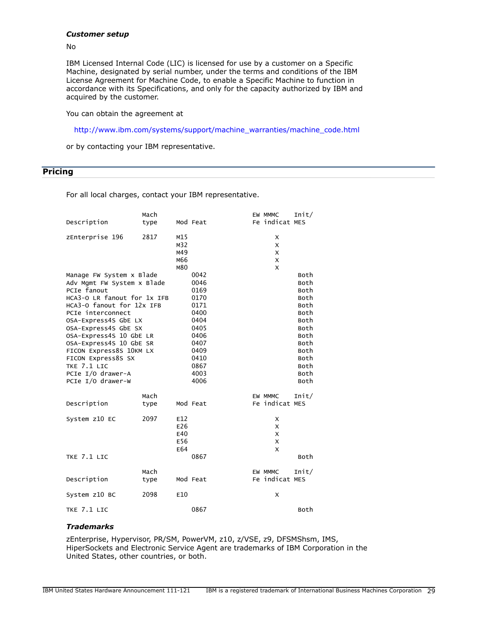### *Customer setup*

No

IBM Licensed Internal Code (LIC) is licensed for use by a customer on a Specific Machine, designated by serial number, under the terms and conditions of the IBM License Agreement for Machine Code, to enable a Specific Machine to function in accordance with its Specifications, and only for the capacity authorized by IBM and acquired by the customer.

You can obtain the agreement at

[http://www.ibm.com/systems/support/machine\\_warranties/machine\\_code.html](http://www.ibm.com/systems/support/machine_warranties/machine_code.html)

or by contacting your IBM representative.

<span id="page-28-0"></span>**Pricing** 

For all local charges, contact your IBM representative.

|                             | Mach |     |          | EW MMMC        | Init/ |
|-----------------------------|------|-----|----------|----------------|-------|
| Description                 | type |     | Mod Feat | Fe indicat MES |       |
| zEnterprise 196             | 2817 | M15 |          | х              |       |
|                             |      | M32 |          | X              |       |
|                             |      | M49 |          | X              |       |
|                             |      | M66 |          | X              |       |
|                             |      | M80 |          | X              |       |
| Manage FW System x Blade    |      |     | 0042     |                | Both  |
| Adv Mgmt FW System x Blade  |      |     | 0046     |                | Both  |
| PCIe fanout                 |      |     | 0169     |                | Both  |
| HCA3-O LR fanout for 1x IFB |      |     | 0170     |                | Both  |
| HCA3-0 fanout for 12x IFB   |      |     | 0171     |                | Both  |
| PCIe interconnect           |      |     | 0400     |                | Both  |
| OSA-Express4S GbE LX        |      |     | 0404     |                | Both  |
| OSA-Express4S GbE SX        |      |     | 0405     |                | Both  |
| OSA-Express4S 10 GbE LR     |      |     | 0406     |                | Both  |
| OSA-Express4S 10 GbE SR     |      |     | 0407     |                | Both  |
| FICON Express8S 10KM LX     |      |     | 0409     |                | Both  |
| FICON Express8S SX          |      |     | 0410     |                | Both  |
| TKE 7.1 LIC                 |      |     | 0867     |                | Both  |
| PCIe I/O drawer-A           |      |     | 4003     |                | Both  |
| PCIe I/O drawer-W           |      |     | 4006     |                | Both  |
|                             | Mach |     |          | EW MMMC        | Init/ |
| Description                 | type |     | Mod Feat | Fe indicat MES |       |
| System z10 EC               | 2097 | E12 |          | х              |       |
|                             |      | E26 |          | X              |       |
|                             |      | E40 |          | X              |       |
|                             |      | E56 |          | X              |       |
|                             |      | E64 |          | X              |       |
| TKE 7.1 LIC                 |      |     | 0867     |                | Both  |
|                             | Mach |     |          | EW MMMC        | Init/ |
| Description                 | type |     | Mod Feat | Fe indicat MES |       |
| System z10 BC               | 2098 | E10 |          | X              |       |
| TKE 7.1 LIC                 |      |     | 0867     |                | Both  |
|                             |      |     |          |                |       |

### *Trademarks*

zEnterprise, Hypervisor, PR/SM, PowerVM, z10, z/VSE, z9, DFSMShsm, IMS, HiperSockets and Electronic Service Agent are trademarks of IBM Corporation in the United States, other countries, or both.